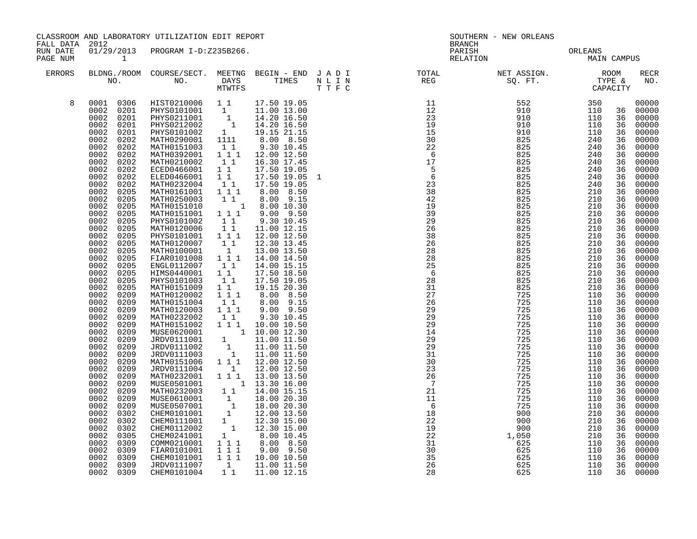| CLASSROOM AND LABORATORY UTILIZATION EDIT REPORT<br>FALL DATA 2012 |                                                                                                                                                                                                                                                                                                                                                                                                                                                                                                                                                                                                                                                              |                                                                                                                                                                                                                                                                                                                                                                                                                                                                                                                                                                                                                                                                                                                                                                                                                                                                                                                                                                                                                                                                                                         |                                                                                                                                                                                                                                                    |                                                                                                                                                                                                                                                                                                                                                                                                                                                                                                                                                                                                                                                                                        | <b>BRANCH</b>                                                                               | SOUTHERN - NEW ORLEANS                                                                                                                                                                                                                                                                                                                                                                                                                             |                                   |            |                                                                                                                                                                                                                                                                |                                                                                                                                                                                                                                                                                                                                                                                                                                  |  |
|--------------------------------------------------------------------|--------------------------------------------------------------------------------------------------------------------------------------------------------------------------------------------------------------------------------------------------------------------------------------------------------------------------------------------------------------------------------------------------------------------------------------------------------------------------------------------------------------------------------------------------------------------------------------------------------------------------------------------------------------|---------------------------------------------------------------------------------------------------------------------------------------------------------------------------------------------------------------------------------------------------------------------------------------------------------------------------------------------------------------------------------------------------------------------------------------------------------------------------------------------------------------------------------------------------------------------------------------------------------------------------------------------------------------------------------------------------------------------------------------------------------------------------------------------------------------------------------------------------------------------------------------------------------------------------------------------------------------------------------------------------------------------------------------------------------------------------------------------------------|----------------------------------------------------------------------------------------------------------------------------------------------------------------------------------------------------------------------------------------------------|----------------------------------------------------------------------------------------------------------------------------------------------------------------------------------------------------------------------------------------------------------------------------------------------------------------------------------------------------------------------------------------------------------------------------------------------------------------------------------------------------------------------------------------------------------------------------------------------------------------------------------------------------------------------------------------|---------------------------------------------------------------------------------------------|----------------------------------------------------------------------------------------------------------------------------------------------------------------------------------------------------------------------------------------------------------------------------------------------------------------------------------------------------------------------------------------------------------------------------------------------------|-----------------------------------|------------|----------------------------------------------------------------------------------------------------------------------------------------------------------------------------------------------------------------------------------------------------------------|----------------------------------------------------------------------------------------------------------------------------------------------------------------------------------------------------------------------------------------------------------------------------------------------------------------------------------------------------------------------------------------------------------------------------------|--|
| RUN DATE<br>PAGE NUM                                               | $\sim$ $\sim$ 1                                                                                                                                                                                                                                                                                                                                                                                                                                                                                                                                                                                                                                              | 01/29/2013 PROGRAM I-D:Z235B266.                                                                                                                                                                                                                                                                                                                                                                                                                                                                                                                                                                                                                                                                                                                                                                                                                                                                                                                                                                                                                                                                        |                                                                                                                                                                                                                                                    |                                                                                                                                                                                                                                                                                                                                                                                                                                                                                                                                                                                                                                                                                        |                                                                                             |                                                                                                                                                                                                                                                                                                                                                                                                                                                    | PARISH PARISH ORLEANS MAIN CAMPUS |            |                                                                                                                                                                                                                                                                |                                                                                                                                                                                                                                                                                                                                                                                                                                  |  |
| ERRORS                                                             |                                                                                                                                                                                                                                                                                                                                                                                                                                                                                                                                                                                                                                                              |                                                                                                                                                                                                                                                                                                                                                                                                                                                                                                                                                                                                                                                                                                                                                                                                                                                                                                                                                                                                                                                                                                         |                                                                                                                                                                                                                                                    |                                                                                                                                                                                                                                                                                                                                                                                                                                                                                                                                                                                                                                                                                        |                                                                                             | $\begin{array}{cccccccccccccc} \texttt{BLDNA} \cdot \texttt{ROOM} & \texttt{COURSE/SECT.} & \texttt{MEETNG} & \texttt{BEGIN} & - & \texttt{END} & \texttt{J} & \texttt{A} & \texttt{D} & \texttt{I} & & & & & & & & \\ \texttt{NO.} & \texttt{NO.} & \texttt{DAYS} & \texttt{TIMES} & \texttt{N} & \texttt{L} & \texttt{I} & \texttt{N} & & & & & & & \\ \texttt{NO.} & \texttt{NO.} & \texttt{MTVTFS} & \texttt{T} & \texttt{F} & \texttt{C} & &$ |                                   |            |                                                                                                                                                                                                                                                                | <b>RECR</b><br>NO.                                                                                                                                                                                                                                                                                                                                                                                                               |  |
| 8                                                                  | 0002<br>0202<br>0002<br>0202<br>0002<br>0202<br>0002<br>0202<br>0002<br>0202<br>0002<br>0202<br>0002<br>0205<br>0002<br>0205<br>0002<br>0205<br>0002<br>0205<br>0002<br>0205<br>0002<br>0205<br>0002<br>0205<br>0002<br>0205<br>0002<br>0205<br>0002<br>0205<br>0002<br>0205<br>0002<br>0205<br>0002<br>0205<br>0002<br>0205<br>0002<br>0209<br>0002<br>0209<br>0002<br>0209<br>0002<br>0209<br>0002<br>0209<br>0002<br>0209<br>0002<br>0209<br>0002<br>0209<br>0002<br>0209<br>0002<br>0209<br>0002<br>0209<br>0002<br>0209<br>0002<br>0209<br>0002<br>0209<br>0002<br>0209<br>0002<br>0209<br>0002<br>0302<br>0002<br>0302<br>0002<br>0302<br>0002<br>0305 | $\begin{tabular}{cccc} 0.001 & 0.306 & HIST0210006 & 1 & 1 & 17.50 & 19.05 \\ 0.002 & 0.201 & PHYS0101001 & 1 & 11.00 & 13.00 \\ 0.002 & 0.201 & PHYS0211001 & 1 & 14.20 & 16.50 \\ 0.002 & 0.201 & PHYS0212002 & 1 & 14.20 & 16.50 \\ 0.002 & 0.201 & PHYS0101002 & 1 & 19.15 & 21.15 \\ 0.002 & $<br>MATH0151003<br>MATH0392001<br>MATH0210002<br>ECED0466001<br>ELED0466001<br>MATH0232004<br>MATH0161001<br>MATH0250003<br>MATH0151010<br>MATH0151001  1  1  1<br>PHYS0101002<br>MATH0120006<br>PHYS0101001 111<br>MATH0120007 11<br>MATH0100001 1<br>FIAR0101008 111<br>ENGL0112007<br>HIMS0440001 11<br>PHYS0101003 11<br>PHYS0101003<br>MATH0151009<br>MATH0120002<br>MATH0151004<br>MATH0120003<br>MATH0232002<br>MATH0151002<br>MUSE0620001<br>JRDV0111001<br>JRDV0111002<br>JRDV0111003<br>MATH0151006<br>JRDV0111004<br>MATH0232001<br>MUSE0501001<br>MUSE0501001 1 13.30 16.00<br>MATH0232003 1 1 14.00 15.15<br>MUSE0610001 1 18.00 20.30<br>MUSE0507001 1 18.00 20.30<br>CHEM0101001 1 12.00 13.50<br>CHEM0112002 1 12.30 15.00<br>CHEM0112002 1 12.30 15.00<br>CHEM01241001 1 8.00 10.45 | $1\quad1$<br>$1\overline{1}$ $1\overline{1}$<br>$1\quad1$<br>$1\quad1$<br>$1\quad1$<br>11<br>11<br>11<br>11<br>$\begin{smallmatrix}1&1\\1&1&1\end{smallmatrix}$<br>$\begin{smallmatrix}1&1\\1&1&1\end{smallmatrix}$<br>$1\quad1$<br>$\overline{1}$ | 9.30 10.45<br>12.00 12.50<br>16.30 17.45<br>17.50 19.05<br>17.50 19.05<br>17.50 19.05<br>1 1 1 8.00 8.50<br>$\begin{bmatrix} 1 & 1 & 8.00 & 9.15 \\ 1 & 8.00 & 10.30 \end{bmatrix}$<br>$9.00$ $9.50$<br>9.30 10.45<br>11.00 12.15<br>12.00 12.50<br>12.30 13.45<br>13.00 13.50<br>14.00 14.50<br>14.00 15.15<br>17.50 18.50<br>17.50 19.05<br>19.15 20.30<br>8.00 8.50<br>8.00 9.15<br>9.00 9.50<br>9.30 10.45<br>$1^{\text{-}}1^{\text{-}}1$ 10.00 10.50<br>$\begin{bmatrix} 1 & 1 & 10.00 & 12.30 \ 1 & 11.00 & 11.50 \ 1 & 11.00 & 11.50 \ 1 & 11.00 & 11.50 \ 1 & 11.00 & 11.50 \end{bmatrix}$<br>1 1 1 12.00 12.50<br>12.00 12.50<br>1 1 1 1 13.00 13.50<br>$  1$ $13.30$ $16.00$ | $\frac{-2}{18}$<br>$\frac{18}{22}$<br>$\frac{22}{31}$<br>$\frac{31}{35}$<br>$\frac{35}{26}$ |                                                                                                                                                                                                                                                                                                                                                                                                                                                    |                                   |            | 36<br>36<br>36<br>36<br>36<br>36<br>36<br>36<br>36<br>36<br>36<br>36<br>36<br>36<br>36<br>36<br>36<br>36<br>36<br>36<br>36<br>36<br>36<br>36<br>36<br>36<br>36<br>36<br>36<br>36<br>36<br>36<br>36<br>36<br>36<br>36<br>36<br>36<br>36<br>36<br>36<br>36<br>36 | 00000<br>36 00000<br>36 00000<br>00000<br>00000<br>00000<br>00000<br>00000<br>00000<br>00000<br>00000<br>00000<br>00000<br>00000<br>00000<br>00000<br>00000<br>00000<br>00000<br>00000<br>00000<br>00000<br>00000<br>00000<br>00000<br>00000<br>00000<br>00000<br>00000<br>00000<br>00000<br>00000<br>00000<br>00000<br>00000<br>00000<br>00000<br>00000<br>00000<br>00000<br>00000<br>00000<br>00000<br>00000<br>00000<br>00000 |  |
|                                                                    | 0002<br>0309<br>0002<br>0309<br>0002<br>0309<br>0002<br>0309<br>0002 0309                                                                                                                                                                                                                                                                                                                                                                                                                                                                                                                                                                                    | COMM0210001 1 1 1 8.00 8.50<br>FIAR0101001 1 1 1 9.00 9.50<br>CHEM0101001<br>JRDV0111007<br>CHEM0101004                                                                                                                                                                                                                                                                                                                                                                                                                                                                                                                                                                                                                                                                                                                                                                                                                                                                                                                                                                                                 | 1                                                                                                                                                                                                                                                  | $\begin{array}{cccc} 1 & 1 & 1 & 9.00 & 9.50 \\ 1 & 1 & 1 & 10.00 & 10.50 \end{array}$<br>11.00 11.50<br>1 1 11.00 12.15                                                                                                                                                                                                                                                                                                                                                                                                                                                                                                                                                               |                                                                                             |                                                                                                                                                                                                                                                                                                                                                                                                                                                    | 625<br>625                        | 110<br>110 | 36<br>36<br>36<br>36<br>36                                                                                                                                                                                                                                     | 00000<br>00000<br>00000<br>00000<br>00000                                                                                                                                                                                                                                                                                                                                                                                        |  |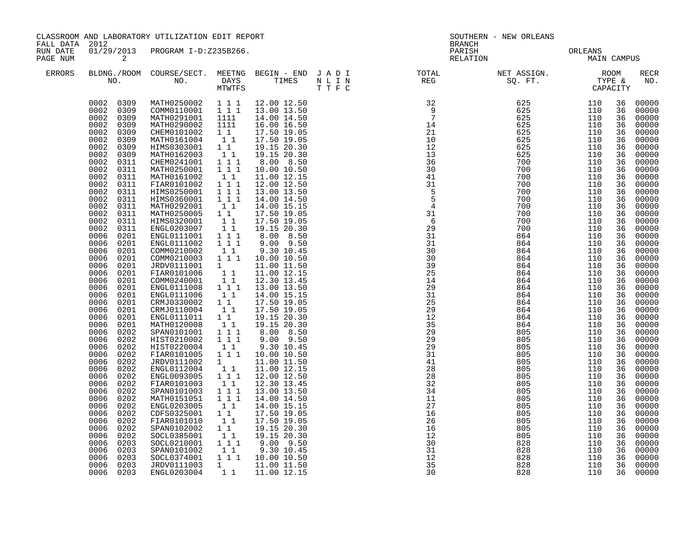| FALL DATA 2012       |                                                                                                                                                                                                                                                                                                                                                                                                                                                                                                                                                                                                                                                                                                                                                                                                                                        | CLASSROOM AND LABORATORY UTILIZATION EDIT REPORT                                                                                                                                                                                                                                                                                                                                                                                                                                                                                                                                                                                                                                                                                                                                                      |                                                                                                                                                                                                                                                                                                                                                                                                                                                                                                                                                                                                                                                                                                                                                                                                                                                                                                                                                                                               |                                                                                                                                                                                                                                                                                                                                                                                                                                                                                                                                                                                                                                                                                                                                                                                                                                                          | SOUTHERN - NEW ORLEANS<br><b>BRANCH</b>                                                                                                                                                                                                                                                                                                                                                                                                                                                                                                       |                                                             |                                                             |                                                                                                                                                                                                                                                                                                                |                                                                                                                                                                                                                                                                                                                                                                                                                                                                         |  |
|----------------------|----------------------------------------------------------------------------------------------------------------------------------------------------------------------------------------------------------------------------------------------------------------------------------------------------------------------------------------------------------------------------------------------------------------------------------------------------------------------------------------------------------------------------------------------------------------------------------------------------------------------------------------------------------------------------------------------------------------------------------------------------------------------------------------------------------------------------------------|-------------------------------------------------------------------------------------------------------------------------------------------------------------------------------------------------------------------------------------------------------------------------------------------------------------------------------------------------------------------------------------------------------------------------------------------------------------------------------------------------------------------------------------------------------------------------------------------------------------------------------------------------------------------------------------------------------------------------------------------------------------------------------------------------------|-----------------------------------------------------------------------------------------------------------------------------------------------------------------------------------------------------------------------------------------------------------------------------------------------------------------------------------------------------------------------------------------------------------------------------------------------------------------------------------------------------------------------------------------------------------------------------------------------------------------------------------------------------------------------------------------------------------------------------------------------------------------------------------------------------------------------------------------------------------------------------------------------------------------------------------------------------------------------------------------------|----------------------------------------------------------------------------------------------------------------------------------------------------------------------------------------------------------------------------------------------------------------------------------------------------------------------------------------------------------------------------------------------------------------------------------------------------------------------------------------------------------------------------------------------------------------------------------------------------------------------------------------------------------------------------------------------------------------------------------------------------------------------------------------------------------------------------------------------------------|-----------------------------------------------------------------------------------------------------------------------------------------------------------------------------------------------------------------------------------------------------------------------------------------------------------------------------------------------------------------------------------------------------------------------------------------------------------------------------------------------------------------------------------------------|-------------------------------------------------------------|-------------------------------------------------------------|----------------------------------------------------------------------------------------------------------------------------------------------------------------------------------------------------------------------------------------------------------------------------------------------------------------|-------------------------------------------------------------------------------------------------------------------------------------------------------------------------------------------------------------------------------------------------------------------------------------------------------------------------------------------------------------------------------------------------------------------------------------------------------------------------|--|
| RUN DATE<br>PAGE NUM | $\overline{\phantom{a}}$ 2                                                                                                                                                                                                                                                                                                                                                                                                                                                                                                                                                                                                                                                                                                                                                                                                             | 01/29/2013 PROGRAM I-D:Z235B266.                                                                                                                                                                                                                                                                                                                                                                                                                                                                                                                                                                                                                                                                                                                                                                      |                                                                                                                                                                                                                                                                                                                                                                                                                                                                                                                                                                                                                                                                                                                                                                                                                                                                                                                                                                                               |                                                                                                                                                                                                                                                                                                                                                                                                                                                                                                                                                                                                                                                                                                                                                                                                                                                          | PARISH<br>RELATION                                                                                                                                                                                                                                                                                                                                                                                                                                                                                                                            | ORLEANS<br>MAIN CAMPUS                                      |                                                             |                                                                                                                                                                                                                                                                                                                |                                                                                                                                                                                                                                                                                                                                                                                                                                                                         |  |
| ERRORS               |                                                                                                                                                                                                                                                                                                                                                                                                                                                                                                                                                                                                                                                                                                                                                                                                                                        |                                                                                                                                                                                                                                                                                                                                                                                                                                                                                                                                                                                                                                                                                                                                                                                                       |                                                                                                                                                                                                                                                                                                                                                                                                                                                                                                                                                                                                                                                                                                                                                                                                                                                                                                                                                                                               |                                                                                                                                                                                                                                                                                                                                                                                                                                                                                                                                                                                                                                                                                                                                                                                                                                                          |                                                                                                                                                                                                                                                                                                                                                                                                                                                                                                                                               |                                                             |                                                             |                                                                                                                                                                                                                                                                                                                | RECR<br>NO.                                                                                                                                                                                                                                                                                                                                                                                                                                                             |  |
|                      | 0002 0309<br>0002<br>0309<br>0002<br>0309<br>0002<br>0309<br>0002<br>0309<br>0002<br>0309<br>0002<br>0309<br>0002<br>0309<br>0002<br>0311<br>0002<br>0311<br>0002<br>0311<br>0002<br>0311<br>0002<br>0311<br>0002<br>0311<br>0002<br>0311<br>0002<br>0311<br>0002<br>0311<br>0002<br>0311<br>0006<br>0201<br>0006<br>0201<br>0006<br>0201<br>0006<br>0201<br>0006<br>0201<br>0006<br>0201<br>0006<br>0201<br>0006<br>0201<br>0006<br>0201<br>0006<br>0201<br>0006<br>0201<br>0006<br>0201<br>0006<br>0201<br>0006<br>0202<br>0006<br>0202<br>0006<br>0202<br>0006<br>0202<br>0006<br>0202<br>0006<br>0202<br>0006<br>0202<br>0006<br>0202<br>0006<br>0202<br>0006<br>0202<br>0006<br>0202<br>0006<br>0202<br>0006<br>0202<br>0006<br>0202<br>0006<br>0202<br>0006<br>0203<br>0006<br>0203<br>0006<br>0203<br>0006<br>0203<br>0006 0203 | MATH0250002 111<br>COMM0110001 111<br>MATH0291001<br>MATH0290002<br>CHEM0101002<br>MATH0161004<br>HIMS0303001<br>MATH0162003<br>CHEM0241001<br>MATH0250001<br>MATH0161002<br>FIAR0101002<br>HIMS0250001<br>HIMS0360001 111<br>MATH0292001<br>MATH0250005<br>HIMS0320001<br>ENGL0203007<br>ENGL0111001<br>ENGL0111002<br>COMM0210002<br>COMM0210003<br>JRDV0111001<br>FIAR0101006<br>COMM0240001<br>ENGL0111008<br>ENGL0111006<br>CRMJ0330002<br>CRMJ0110004<br>ENGL0111011<br>MATH0120008<br>SPAN0101001<br>HIST0210002<br>HIST0220004<br>FIAR0101005<br>JRDV0111002<br>ENGL0112004<br>ENGL0093005<br>FIAR0101003<br>SPAN0101003<br>MATH0151051<br>ENGL0203005<br>CDFS0325001<br>FIAR0101010<br>SPAN0102002<br>SOCL0385001<br>SOCL0210001<br>SPAN0101002<br>SOCL0374001<br>JRDV0111003<br>ENGL0203004 | 1111<br>1111<br>$1\quad1$<br>$\begin{bmatrix} 1 \\ 1 \end{bmatrix}$<br>$1\quad1$<br>$\begin{bmatrix} 1 \\ 1 \\ 1 \end{bmatrix} \begin{bmatrix} 1 \\ 1 \end{bmatrix}$<br>$1 1 1$<br>$\begin{bmatrix} 1\\ 1\\ 1\\ 1 \end{bmatrix}$<br>$1 1 1$<br>11<br>$\begin{smallmatrix}1\ 1\ 1\ 1\ \end{smallmatrix}$<br>$\begin{smallmatrix}1&1\\1&1&1\end{smallmatrix}$<br>$1 1 1$<br>$\begin{bmatrix} 1 \\ 1 \end{bmatrix}$<br>$1 1 1$<br>$\frac{1}{1}$<br>$\frac{1}{1}$<br>$1 \quad 1 \quad 1$<br>$\begin{bmatrix} 1 \\ 1 \end{bmatrix}$<br>$\begin{smallmatrix}1&&1\\&1\\1&&1\end{smallmatrix}$<br>11<br>$\begin{bmatrix} 1 \\ 1 \end{bmatrix}$<br>$1 1 1$<br>1 1 1<br>11<br>$1 1 1$<br>$\frac{1}{1}$<br>$\frac{1}{1}$<br>$\frac{1}{1}$<br>$1\quad1$<br>$1 1 1$<br>$\begin{array}{cc} \bar{1} & \bar{1} & \bar{1} \\ 1 & 1 & \bar{1} \end{array}$<br>$\begin{smallmatrix}1&&1\\&1\\1&&1\end{smallmatrix}$<br>$\begin{smallmatrix}1&&1\\&1\\1&&1\end{smallmatrix}$<br>$1 1 1$<br>$1 \quad \blacksquare$ | 12.00 12.50<br>13.00 13.50<br>14.00 14.50<br>16.00 16.50<br>17.50 19.05<br>17.50 19.05<br>19.15 20.30<br>19.15 20.30<br>8.00 8.50<br>10.00 10.50<br>11.00 12.15<br>12.00 12.50<br>13.00 13.50<br>14.00 14.50<br>14.00 15.15<br>17.50 19.05<br>17.50 19.05<br>19.15 20.30<br>8.00 8.50<br>$9.00$ $9.50$<br>9.30 10.45<br>10.00 10.50<br>11.00 11.50<br>11.00 12.15<br>12.30 13.45<br>13.00 13.50<br>14.00 15.15<br>17.50 19.05<br>17.50 19.05<br>19.15 20.30<br>19.15 20.30<br>8.00 8.50<br>$9.00$ $9.50$<br>9.30 10.45<br>10.00 10.50<br>11.00 11.50<br>11.00 12.15<br>12.00 12.50<br>12.30 13.45<br>13.00 13.50<br>14.00 14.50<br>14.00 15.15<br>17.50 19.05<br>17.50 19.05<br>19.15 20.30<br>19.15 20.30<br>$9.00$ $9.50$<br>$\begin{array}{cccc} 1 & 1 & & 9.30 & 10.45 \\ 1 & 1 & 1 & & 10.00 & 10.50 \end{array}$<br>11.00 11.50<br>1 1 11.00 12.15 | $\begin{array}{cccc} \texttt{N} & \texttt{N} & \texttt{R} & \texttt{R} & \texttt{S} & \texttt{S} & \texttt{S} & \texttt{S} & \texttt{S} & \texttt{S} & \texttt{S} & \texttt{S} & \texttt{S} & \texttt{S} & \texttt{S} & \texttt{S} & \texttt{S} & \texttt{S} & \texttt{S} & \texttt{S} & \texttt{S} & \texttt{S} & \texttt{S} & \texttt{S} & \texttt{S} & \texttt{S} & \texttt{S} & \texttt{S} & \texttt{S} & \texttt{S} & \texttt$<br>16<br>26<br>16<br>$\begin{array}{c}\n12 \\ 12 \\ 30\n\end{array}$<br>31<br>$\overline{12}$<br>35<br>30 | 805<br>805<br>805<br>805<br>828<br>828<br>828<br>828<br>828 | 110<br>110<br>110<br>110<br>110<br>110<br>110<br>110<br>110 | 36<br>36<br>36<br>36<br>36<br>36<br>36<br>36<br>36<br>36<br>36<br>36<br>36<br>36<br>36<br>36<br>36<br>36<br>36<br>36<br>36<br>36<br>36<br>36<br>36<br>36<br>36<br>36<br>36<br>36<br>36<br>36<br>36<br>36<br>36<br>36<br>36<br>36<br>36<br>36<br>36<br>36<br>36<br>36<br>36<br>36<br>36<br>36<br>36<br>36<br>36 | 00000<br>00000<br>00000<br>00000<br>00000<br>00000<br>00000<br>00000<br>00000<br>00000<br>00000<br>00000<br>00000<br>00000<br>00000<br>00000<br>00000<br>00000<br>00000<br>00000<br>00000<br>00000<br>00000<br>00000<br>00000<br>00000<br>00000<br>00000<br>00000<br>00000<br>00000<br>00000<br>00000<br>00000<br>00000<br>00000<br>00000<br>00000<br>00000<br>00000<br>00000<br>00000<br>00000<br>00000<br>00000<br>00000<br>00000<br>00000<br>00000<br>00000<br>00000 |  |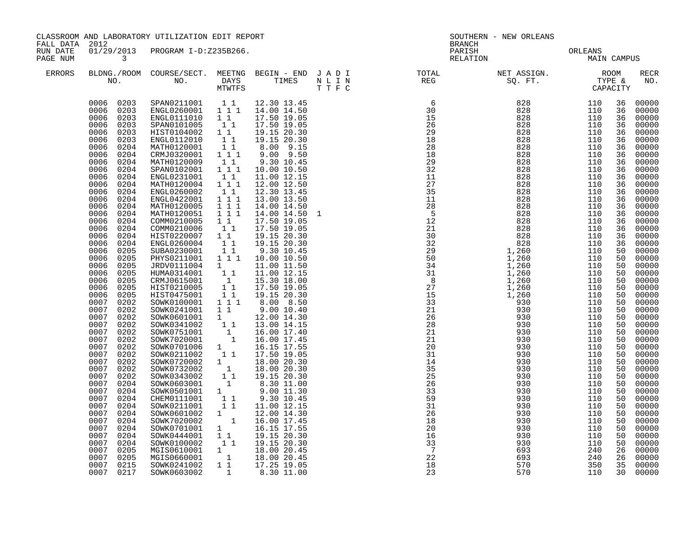| FALL DATA 2012       |                                                                                                                                                                                                                                                                                                                                                                                                                                                                                                                                                                                                                                                                                                                                                                                                        | CLASSROOM AND LABORATORY UTILIZATION EDIT REPORT<br>SOUTHERN - NEW ORLEANS<br>BRANCH                                                                                                                                                                                                                                                                                                                                                                                                                                                                                                                                                                                                                                                                                                                                                                                                                                                                                                                                                                                       |                                                                                                                                                                                                                                                                                                                                                                                                                             |                                                                                                                                                                                                                                                                                                                                                                                                                                                                                                                                                                                                                                                                                                         |  |                                                                                                                                                                                                                                                                                                                                                                                                                                                |  |                        |                                                                                                                                                                                                                                                                                                                |                                                                                                                                                                                                                                                                                                                                                                                                                                                                         |
|----------------------|--------------------------------------------------------------------------------------------------------------------------------------------------------------------------------------------------------------------------------------------------------------------------------------------------------------------------------------------------------------------------------------------------------------------------------------------------------------------------------------------------------------------------------------------------------------------------------------------------------------------------------------------------------------------------------------------------------------------------------------------------------------------------------------------------------|----------------------------------------------------------------------------------------------------------------------------------------------------------------------------------------------------------------------------------------------------------------------------------------------------------------------------------------------------------------------------------------------------------------------------------------------------------------------------------------------------------------------------------------------------------------------------------------------------------------------------------------------------------------------------------------------------------------------------------------------------------------------------------------------------------------------------------------------------------------------------------------------------------------------------------------------------------------------------------------------------------------------------------------------------------------------------|-----------------------------------------------------------------------------------------------------------------------------------------------------------------------------------------------------------------------------------------------------------------------------------------------------------------------------------------------------------------------------------------------------------------------------|---------------------------------------------------------------------------------------------------------------------------------------------------------------------------------------------------------------------------------------------------------------------------------------------------------------------------------------------------------------------------------------------------------------------------------------------------------------------------------------------------------------------------------------------------------------------------------------------------------------------------------------------------------------------------------------------------------|--|------------------------------------------------------------------------------------------------------------------------------------------------------------------------------------------------------------------------------------------------------------------------------------------------------------------------------------------------------------------------------------------------------------------------------------------------|--|------------------------|----------------------------------------------------------------------------------------------------------------------------------------------------------------------------------------------------------------------------------------------------------------------------------------------------------------|-------------------------------------------------------------------------------------------------------------------------------------------------------------------------------------------------------------------------------------------------------------------------------------------------------------------------------------------------------------------------------------------------------------------------------------------------------------------------|
| RUN DATE<br>PAGE NUM | $\mathbf{3}$                                                                                                                                                                                                                                                                                                                                                                                                                                                                                                                                                                                                                                                                                                                                                                                           | 01/29/2013 PROGRAM I-D:Z235B266.                                                                                                                                                                                                                                                                                                                                                                                                                                                                                                                                                                                                                                                                                                                                                                                                                                                                                                                                                                                                                                           |                                                                                                                                                                                                                                                                                                                                                                                                                             |                                                                                                                                                                                                                                                                                                                                                                                                                                                                                                                                                                                                                                                                                                         |  | PARISH<br>RELATION                                                                                                                                                                                                                                                                                                                                                                                                                             |  | ORLEANS<br>MAIN CAMPUS |                                                                                                                                                                                                                                                                                                                |                                                                                                                                                                                                                                                                                                                                                                                                                                                                         |
| <b>ERRORS</b>        |                                                                                                                                                                                                                                                                                                                                                                                                                                                                                                                                                                                                                                                                                                                                                                                                        |                                                                                                                                                                                                                                                                                                                                                                                                                                                                                                                                                                                                                                                                                                                                                                                                                                                                                                                                                                                                                                                                            |                                                                                                                                                                                                                                                                                                                                                                                                                             |                                                                                                                                                                                                                                                                                                                                                                                                                                                                                                                                                                                                                                                                                                         |  | $\begin{tabular}{lllllllllllllllllllll} \textsc{BLONG.} \textsc{F100M.} & \textsc{COURSE/SECT.} & \textsc{METNG.} & \textsc{BEGIN - END.} & \textsc{J A D I} & \textsc{DTATM E} & \textsc{NET ASSIGN.} & \textsc{ROOM} \\ \textsc{NO.} & \textsc{NO.} & \textsc{DAYS} & \textsc{TIMES} & \textsc{N L I N} & \textsc{REG} & \textsc{SEG} & \textsc{ST.} & \textsc{STF.} & \textsc{CTPACITY} \\ & \textsc{MTVTFS} & \textsc{T T F C} & \textsc{$ |  |                        |                                                                                                                                                                                                                                                                                                                | RECR<br>NO.                                                                                                                                                                                                                                                                                                                                                                                                                                                             |
|                      | 0006<br>0203<br>0006<br>0203<br>0006<br>0203<br>0006<br>0203<br>0006<br>0204<br>0204<br>0006<br>0006<br>0204<br>0006<br>0204<br>0006<br>0204<br>0006<br>0204<br>0006<br>0204<br>0006<br>0204<br>0006<br>0204<br>0006<br>0204<br>0006<br>0204<br>0006<br>0204<br>0006<br>0204<br>0006<br>0204<br>0006<br>0205<br>0006<br>0205<br>0006<br>0205<br>0006<br>0205<br>0006<br>0205<br>0006<br>0205<br>0006<br>0205<br>0007<br>0202<br>0007<br>0202<br>0007 0202<br>0007<br>0202<br>0007<br>0202<br>0007<br>0202<br>0007<br>0202<br>0007<br>0202<br>0007<br>0202<br>0007<br>0202<br>0007<br>0202<br>0007<br>0204<br>0007<br>0204<br>0007<br>0204<br>0007<br>0204<br>0007<br>0204<br>0007<br>0204<br>0007<br>0204<br>0007<br>0204<br>0007<br>0204<br>0007<br>0205<br>0007<br>0205<br>0007<br>0215<br>0007 0217 | $\begin{array}{cccccccc} 0006 & 0203 & \text{SPAN}0211001 & 1 & 1 & 12.30 & 13.45 \\ 0006 & 0203 & \text{ENGL}0260001 & 1 & 1 & 14.00 & 14.50 \end{array}$<br>ENGL0111010 1 1<br>SPAN0101005<br>HIST0104002 1 1<br>ENGL0112010<br>MATH0120001<br>CRMJ0320001<br>MATH0120009<br>SPAN0102001<br>ENGL0231001<br>MATH0120004<br>ENGL0260002<br>ENGL0422001<br>MATH0120005<br>MATH0120051<br>COMM0210005<br>COMM0210006<br>HIST0220007 1 1<br>ENGL0260004<br>SUBA0230001<br>PHYS0211001  1  1  10.00  10.50<br>JRDV0111004 1<br>HUMA0314001 1 1<br>CRMJ0615001 1<br>HIST0210005 1 1<br>HIST0475001<br>SOWK0100001 1 1 1<br>SOWK0241001<br>SOWK0601001<br>SOWK0341002<br>SOWK0751001<br>SOWK7020001<br>SOWK0701006<br>SOWK0211002<br>SOWK0720002 1 18.00 20.30<br>SOWK0732002 1 18.00 20.30<br>SOWK0343002 1 1 19.15 20.30<br>SOWK0603001<br>SOWK0501001 1<br>CHEM0111001<br>SOWK0211001<br>SOWK0601002<br>SOWK7020002<br>SOWK0701001<br>1<br>SOWK0444001<br>SOWK0100002<br>MGIS0610001 1 18.00 20.45<br>MGIS0660001 1 18.00 20.45<br>SOWK0241002 1 1 17.25 19.05<br>SOWK0603002 | 11<br>11<br>11<br>$1 1 1$<br>$1\quad1$<br>111<br>$\begin{smallmatrix}1&1\\1&1&1\end{smallmatrix}$<br>$1\quad1$<br>$1^{\degree}1^{\degree}1$<br>$\begin{array}{rrrr} & 1 & 1 & 1 \\ & 1 & 1 & 1 \end{array}$<br>$1\quad1$<br>$1\quad1$<br>11<br>11<br>$\frac{1}{1}$<br>1 1<br>$\begin{bmatrix} 1 \\ 1 \\ 1 \\ 1 \end{bmatrix}$<br>$1$ <sup>-</sup><br>11<br>$\begin{bmatrix} 1 & 1 \\ 1 & 1 \end{bmatrix}$<br>$1\quad1$<br>1 | 12.30 13.45<br>17.50 19.05<br>17.50 19.05<br>19.15 20.30<br>19.15 20.30<br>8.00 9.15<br>9.00 9.50<br>9.30 10.45<br>10.00 10.50<br>11.00 12.15<br>12.00 12.50<br>12.30 13.45<br>13.00 13.50<br>14.00 14.50<br>14.00 14.50<br>17.50 19.05<br>17.50 19.05<br>19.15 20.30<br>19.15 20.30<br>9.30 10.45<br>11.00 11.50<br>11.00 12.15<br>15.30 18.00<br>17.50 19.05<br>19.15 20.30<br>8.00 8.50<br>$9.00\ 10.40$<br>12.00 14.30<br>13.00 14.15<br>16.00 17.40<br>16.00 17.45<br>16.15 17.55<br>17.50 19.05<br>$\begin{bmatrix} 1 & 8.30 & 11.00 \\ 1 & 9.00 & 11.30 \end{bmatrix}$<br>9.30 10.45<br>11.00 12.15<br>12.00 14.30<br>16.00 17.45<br>16.15 17.55<br>19.15 20.30<br>1 1 19.15 20.30<br>8.30 11.00 |  | $\begin{tabular}{lcccc} \texttt{N} & \texttt{F} & \texttt{REO} & \texttt{S0. FT.} & \texttt{TTP} \\ \texttt{S} & 6 & 828 & 1100 \\ \texttt{50} & 828 & 1100 \\ 115 & 828 & 1100 \\ 25 & 828 & 1110 \\ 25 & 828 & 1110 \\ 25 & 828 & 1110 \\ 25 & 828 & 1110 \\ 25 & 828 & 1110 \\ 25 & 828 & 1110 \\ 25 & 828 & 1110 \\ 25 & 828$                                                                                                              |  |                        | 36<br>36<br>36<br>36<br>36<br>36<br>36<br>36<br>36<br>36<br>36<br>36<br>36<br>36<br>36<br>36<br>36<br>36<br>36<br>36<br>50<br>50<br>50<br>50<br>50<br>50<br>50<br>50<br>50<br>50<br>50<br>50<br>50<br>50<br>50<br>50<br>50<br>50<br>50<br>50<br>50<br>50<br>50<br>50<br>50<br>50<br>50<br>26<br>26<br>35<br>30 | 00000<br>00000<br>00000<br>00000<br>00000<br>00000<br>00000<br>00000<br>00000<br>00000<br>00000<br>00000<br>00000<br>00000<br>00000<br>00000<br>00000<br>00000<br>00000<br>00000<br>00000<br>00000<br>00000<br>00000<br>00000<br>00000<br>00000<br>00000<br>00000<br>00000<br>00000<br>00000<br>00000<br>00000<br>00000<br>00000<br>00000<br>00000<br>00000<br>00000<br>00000<br>00000<br>00000<br>00000<br>00000<br>00000<br>00000<br>00000<br>00000<br>00000<br>00000 |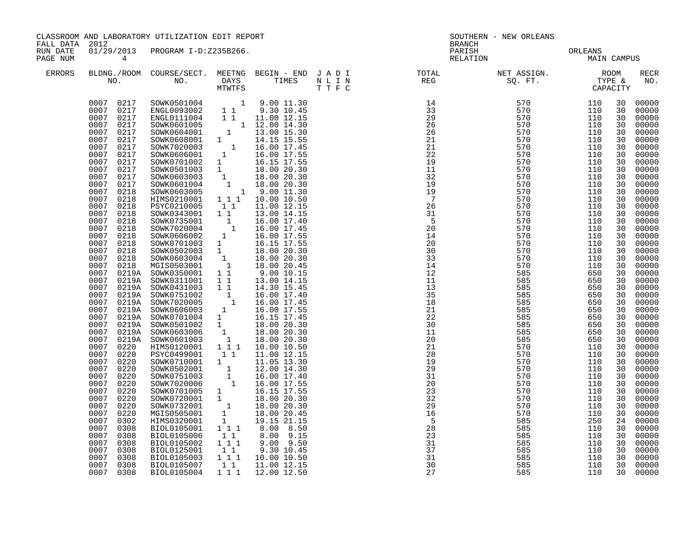| FALL DATA 2012       |                                                                                                                                                                                                                                                                                                                                                                                                                                                                                                                                                                                                                                                                                                                        | CLASSROOM AND LABORATORY UTILIZATION EDIT REPORT                                                                                                                                                                                                                                                                                                                                                                                                                                                                                                                                                                                                                                                                                                                                                                                                                                                                                                                                           |                                                                                                   |                                                                                                                                                                                                                                                               | SOUTHERN - NEW ORLEANS<br><b>BRANCH</b>                                                                                                                                                                                                                                                                                                                                                                                                                                                                                                                                                      |                                                                                                                                                 |                                                                                                                                                 |                                                                                                                                                                                                                                                                                                          |                                                                                                                                                                                                                                                                                                                                                                                                                                                                |  |
|----------------------|------------------------------------------------------------------------------------------------------------------------------------------------------------------------------------------------------------------------------------------------------------------------------------------------------------------------------------------------------------------------------------------------------------------------------------------------------------------------------------------------------------------------------------------------------------------------------------------------------------------------------------------------------------------------------------------------------------------------|--------------------------------------------------------------------------------------------------------------------------------------------------------------------------------------------------------------------------------------------------------------------------------------------------------------------------------------------------------------------------------------------------------------------------------------------------------------------------------------------------------------------------------------------------------------------------------------------------------------------------------------------------------------------------------------------------------------------------------------------------------------------------------------------------------------------------------------------------------------------------------------------------------------------------------------------------------------------------------------------|---------------------------------------------------------------------------------------------------|---------------------------------------------------------------------------------------------------------------------------------------------------------------------------------------------------------------------------------------------------------------|----------------------------------------------------------------------------------------------------------------------------------------------------------------------------------------------------------------------------------------------------------------------------------------------------------------------------------------------------------------------------------------------------------------------------------------------------------------------------------------------------------------------------------------------------------------------------------------------|-------------------------------------------------------------------------------------------------------------------------------------------------|-------------------------------------------------------------------------------------------------------------------------------------------------|----------------------------------------------------------------------------------------------------------------------------------------------------------------------------------------------------------------------------------------------------------------------------------------------------------|----------------------------------------------------------------------------------------------------------------------------------------------------------------------------------------------------------------------------------------------------------------------------------------------------------------------------------------------------------------------------------------------------------------------------------------------------------------|--|
| RUN DATE<br>PAGE NUM | $\overline{4}$                                                                                                                                                                                                                                                                                                                                                                                                                                                                                                                                                                                                                                                                                                         | 01/29/2013 PROGRAM I-D:Z235B266.                                                                                                                                                                                                                                                                                                                                                                                                                                                                                                                                                                                                                                                                                                                                                                                                                                                                                                                                                           |                                                                                                   |                                                                                                                                                                                                                                                               |                                                                                                                                                                                                                                                                                                                                                                                                                                                                                                                                                                                              | PARISH<br>PARISH CRIEANS MAIN CAMPUS                                                                                                            |                                                                                                                                                 |                                                                                                                                                                                                                                                                                                          |                                                                                                                                                                                                                                                                                                                                                                                                                                                                |  |
| <b>ERRORS</b>        |                                                                                                                                                                                                                                                                                                                                                                                                                                                                                                                                                                                                                                                                                                                        |                                                                                                                                                                                                                                                                                                                                                                                                                                                                                                                                                                                                                                                                                                                                                                                                                                                                                                                                                                                            |                                                                                                   |                                                                                                                                                                                                                                                               |                                                                                                                                                                                                                                                                                                                                                                                                                                                                                                                                                                                              |                                                                                                                                                 |                                                                                                                                                 |                                                                                                                                                                                                                                                                                                          | <b>RECR</b><br>NO.                                                                                                                                                                                                                                                                                                                                                                                                                                             |  |
|                      | 0007 0217<br>0007 0217<br>0007 0217<br>0007<br>0217<br>0007<br>0217<br>0007<br>0217<br>0007<br>0217<br>0007<br>0217<br>0007<br>0217<br>0007<br>0217<br>0007<br>0217<br>0007<br>0217<br>0007<br>0218<br>0007<br>0218<br>0007<br>0218<br>0007<br>0218<br>0007<br>0218<br>0007 0218<br>0007<br>0218<br>0007<br>0218<br>0007<br>0218<br>0007 0218<br>0007<br>0218<br>0007<br>0219A<br>0007<br>0007<br>0007<br>0007<br>0007<br>0007<br>0007<br>0007<br>0007<br>0007<br>0220<br>0007<br>0220<br>0007<br>0220<br>0007<br>0220<br>0007<br>0220<br>0007<br>0220<br>0007<br>0220<br>0007<br>0220<br>0007<br>0220<br>0007<br>0302<br>0007<br>0308<br>0007<br>0308<br>0007<br>0308<br>0007<br>0308<br>0007<br>0308<br>0007<br>0308 | HIMS0210001 111 10.00 10.50<br>PSYC0210005<br>SOWK0343001 1 1<br>SOWK0735001 1 16.00 17.40<br>SOWK7020004 1 16.00 17.45<br>SOWK0606002 1 16.00 17.55<br>SOWK0701003<br>SOWK0701003<br>SOWK0502003<br>SOWK0603004<br>18.00 20.30<br>MGIS0503001<br>18.00 20.30<br>MGIS0503001<br>1 18.00 20.45<br>SOWK0350001<br>1 19.00 10.15<br>SOWK0311001<br>1 13.00 14.15<br>0007 0219A SOWK0350001 1 1<br>0219A SOWK0431003 1 1<br>0219A SOWK0431003 1 1 14.30 15.45<br>0219A SOWK0751002 1 16.00 17.40<br>0219A SOWK702005 1 16.00 17.45<br>0219A SOWK7060603 1 16.00 17.55<br>0219A SOWK0501002 1 16.15 17.45<br>0219A SOWK0501002 1 18.00 20.30<br>0219A SOWK0603006 1 18.<br>PSYC0499001<br>SOWK0710001 1<br>SOWK0502001<br>SOWK0751003<br>SOWK7020006<br>SOWK0701005 1 16.15 17.55<br>SOWK0701005 1 16.15 17.55<br>SOWK0732001 1 18.00 20.30<br>MGIS0505001 1 18.00 20.45<br>HIMS0320001 1 19.15 21.15<br>BIOL0105001<br>BIOL0105006<br>BIOL0105002<br>BIOL0125001<br>BIOL0105003<br>BIOL0105007 | 11<br>11<br>1 1 1<br>11<br>1 1 1<br>$\begin{smallmatrix}1&1\\1&1&1\end{smallmatrix}$<br>$1\quad1$ | 11.00 12.15<br>13.00 14.15<br>14.30 15.45<br>11.00 12.15<br>11.05 13.30<br>$\begin{array}{rrrr} 1 & 12.00 & 14.30 \ 1 & 16.00 & 17.40 \ 1 & 16.00 & 17.55 \end{array}$<br>8.00 8.50<br>8.00 9.15<br>$9.00$ $9.50$<br>9.30 10.45<br>10.00 10.50<br>11.00 12.15 | $\begin{array}{cccccccc} \text{T} & \text{T} & \text{F} & \text{C} & \text{C} & \text{C} & \text{C} & \text{C} & \text{C} & \text{C} & \text{C} & \text{C} & \text{C} & \text{C} & \text{C} & \text{C} & \text{C} & \text{C} & \text{C} & \text{C} & \text{C} & \text{C} & \text{C} & \text{C} & \text{C} & \text{C} & \text{C} & \text{C} & \text{C} & \text{C} & \text{C} & \text{C} & \text{C} & \text{C} & \text{C} & \text{C$<br>22<br>30<br>11<br>20<br>21<br>28<br>19<br>29<br>$\frac{2}{31}$<br>20<br>23<br>32<br>29<br>16<br>$-5$<br>$\frac{28}{23}$<br>31<br>$\frac{37}{31}$<br>30 | 585<br>585<br>585<br>585<br>570<br>570<br>570<br>570<br>570<br>570<br>570<br>570<br>570<br>570<br>585<br>585<br>585<br>585<br>585<br>585<br>585 | 650<br>650<br>650<br>650<br>110<br>110<br>110<br>110<br>110<br>110<br>110<br>110<br>110<br>110<br>250<br>110<br>110<br>110<br>110<br>110<br>110 | 30<br>30<br>30<br>30<br>30<br>30<br>30<br>30<br>30<br>30<br>30<br>30<br>30<br>30<br>30<br>30<br>30<br>30<br>30<br>30<br>30<br>30<br>30<br>30<br>30<br>30<br>30<br>30<br>30<br>30<br>30<br>30<br>30<br>30<br>30<br>30<br>30<br>30<br>30<br>30<br>30<br>30<br>30<br>24<br>30<br>30<br>30<br>30<br>30<br>30 | 00000<br>00000<br>00000<br>00000<br>00000<br>00000<br>00000<br>00000<br>00000<br>00000<br>00000<br>00000<br>00000<br>00000<br>00000<br>00000<br>00000<br>00000<br>00000<br>00000<br>00000<br>00000<br>00000<br>00000<br>00000<br>00000<br>00000<br>00000<br>00000<br>00000<br>00000<br>00000<br>00000<br>00000<br>00000<br>00000<br>00000<br>00000<br>00000<br>00000<br>00000<br>00000<br>00000<br>00000<br>00000<br>00000<br>00000<br>00000<br>00000<br>00000 |  |
|                      | 0007 0308                                                                                                                                                                                                                                                                                                                                                                                                                                                                                                                                                                                                                                                                                                              | BIOL0105004                                                                                                                                                                                                                                                                                                                                                                                                                                                                                                                                                                                                                                                                                                                                                                                                                                                                                                                                                                                | 1 1 1                                                                                             | 12.00 12.50                                                                                                                                                                                                                                                   | 27                                                                                                                                                                                                                                                                                                                                                                                                                                                                                                                                                                                           | 585                                                                                                                                             | 110                                                                                                                                             | 30                                                                                                                                                                                                                                                                                                       | 00000                                                                                                                                                                                                                                                                                                                                                                                                                                                          |  |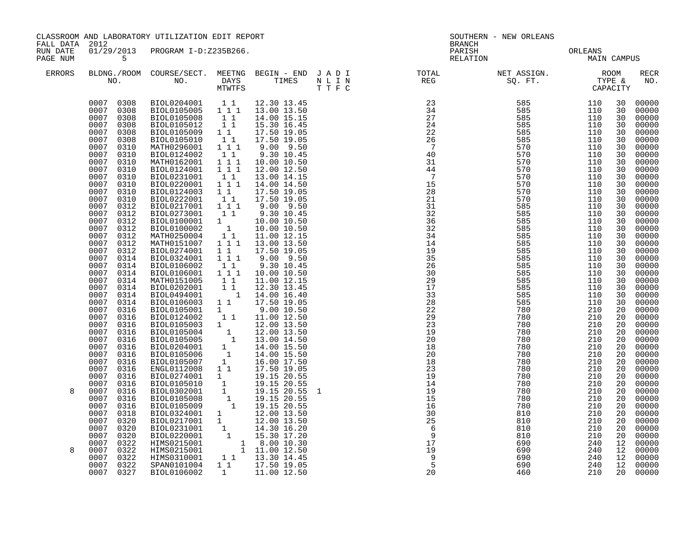| FALL DATA 2012       |                                                                                                                                                                                                                                                                                                                                                                                                                                                                                                                                                                                                     | CLASSROOM AND LABORATORY UTILIZATION EDIT REPORT                                                                                                                                                                                                                                                                                                                                                                                                                                                                                                                                                                                                                                                                                                                                                                                                                                             |                                                                                                                                                                                                                                                                                   |                                                                                                                                                                                                                                                                                                                                                                                                                                                       | SOUTHERN - NEW ORLEANS<br><b>BRANCH</b> |                                                                                                                                                                                                                                                                                                                                                                                                                              |                        |                   |                                                                                                                                                                                                                            |                                                                                                                                                                                                                                                                                                                                           |
|----------------------|-----------------------------------------------------------------------------------------------------------------------------------------------------------------------------------------------------------------------------------------------------------------------------------------------------------------------------------------------------------------------------------------------------------------------------------------------------------------------------------------------------------------------------------------------------------------------------------------------------|----------------------------------------------------------------------------------------------------------------------------------------------------------------------------------------------------------------------------------------------------------------------------------------------------------------------------------------------------------------------------------------------------------------------------------------------------------------------------------------------------------------------------------------------------------------------------------------------------------------------------------------------------------------------------------------------------------------------------------------------------------------------------------------------------------------------------------------------------------------------------------------------|-----------------------------------------------------------------------------------------------------------------------------------------------------------------------------------------------------------------------------------------------------------------------------------|-------------------------------------------------------------------------------------------------------------------------------------------------------------------------------------------------------------------------------------------------------------------------------------------------------------------------------------------------------------------------------------------------------------------------------------------------------|-----------------------------------------|------------------------------------------------------------------------------------------------------------------------------------------------------------------------------------------------------------------------------------------------------------------------------------------------------------------------------------------------------------------------------------------------------------------------------|------------------------|-------------------|----------------------------------------------------------------------------------------------------------------------------------------------------------------------------------------------------------------------------|-------------------------------------------------------------------------------------------------------------------------------------------------------------------------------------------------------------------------------------------------------------------------------------------------------------------------------------------|
| RUN DATE<br>PAGE NUM | $5^{\circ}$                                                                                                                                                                                                                                                                                                                                                                                                                                                                                                                                                                                         | 01/29/2013 PROGRAM I-D:Z235B266.                                                                                                                                                                                                                                                                                                                                                                                                                                                                                                                                                                                                                                                                                                                                                                                                                                                             |                                                                                                                                                                                                                                                                                   |                                                                                                                                                                                                                                                                                                                                                                                                                                                       |                                         | PARISH<br>RELATION                                                                                                                                                                                                                                                                                                                                                                                                           | ORLEANS<br>MAIN CAMPUS |                   |                                                                                                                                                                                                                            |                                                                                                                                                                                                                                                                                                                                           |
| <b>ERRORS</b>        |                                                                                                                                                                                                                                                                                                                                                                                                                                                                                                                                                                                                     |                                                                                                                                                                                                                                                                                                                                                                                                                                                                                                                                                                                                                                                                                                                                                                                                                                                                                              |                                                                                                                                                                                                                                                                                   |                                                                                                                                                                                                                                                                                                                                                                                                                                                       |                                         |                                                                                                                                                                                                                                                                                                                                                                                                                              |                        |                   |                                                                                                                                                                                                                            | <b>RECR</b><br>NO.                                                                                                                                                                                                                                                                                                                        |
|                      | 0007 0308<br>0007 0308<br>0007 0308<br>0007<br>0308<br>0007<br>0308<br>0007<br>0308<br>0007<br>0310<br>0007<br>0310<br>0007<br>0310<br>0007<br>0310<br>0007<br>0310<br>0007<br>0310<br>0007<br>0310<br>0007<br>0310<br>0007<br>0312<br>0007<br>0312<br>0007<br>0312<br>0007<br>0312<br>0007<br>0312<br>0007<br>0312<br>0007<br>0312<br>0007<br>0314<br>0007<br>0314<br>0007<br>0314<br>0007<br>0314<br>0007<br>0314<br>0007<br>0314<br>0007<br>0314<br>0007<br>0316<br>0007<br>0316<br>0007<br>0316<br>0007<br>0316<br>0007<br>0316<br>0007<br>0316<br>0007<br>0316<br>0007<br>0316<br>0007<br>0316 | BIOL0204001   1   12.30   13.45<br>BIOL0105005   1   1   13.00   13.50<br>BIOL0105008 11<br>BIOL0105012 11<br>BIOL0105009<br>BIOL0105010<br>MATH0296001<br>BIOL0124002<br>MATH0162001<br>BIOL0124001 111<br>BIOL0231001<br>BIOL0220001<br>BIOL0124003<br>BIOL0222001<br>BIOL0217001 111<br>BIOL0273001<br>BIOL0100001<br>BIOL0100002<br>MATH0250004<br>MATH0151007<br>BIOL0274001<br>BIOL0324001<br>BIOL0106002<br>BIOL0106001 111<br>MATH0151005 11<br>BIOL0202001<br>BIOL0494001<br>BIOL0106003 1 1 17.50 19.05<br>BIOL0105001 1<br>BIOL0124002<br>$\begin{tabular}{cccc} \texttt{BIOL0105003} & 1 & 11.00 & 12.50 \\ \texttt{BIOL0105003} & 1 & 12.00 & 13.50 \\ \texttt{BIOL0105004} & 1 & 12.00 & 13.50 \\ \texttt{BIOL0105005} & 1 & 13.00 & 14.50 \\ \texttt{BIOL0204001} & 1 & 14.00 & 15.50 \\ \texttt{BIOL0105006} & 1 & 14.00 & 15.50 \\ \texttt{BIOL0105007}$<br>ENGL0112008 1 1 | $1\quad1$<br>$\begin{bmatrix} 1 \\ 1 \end{bmatrix}$<br>$1 1 1$<br>11<br>$1 1 1$<br>$\begin{smallmatrix}1&1\\1&1&1\end{smallmatrix}$<br>11<br>$1\quad1$<br>11<br>$\begin{bmatrix} 1 \\ 1 \end{bmatrix}$<br>$1\quad1$<br>11<br>$\overline{1}$ $\overline{1}$ $1$<br>11<br>$1\quad1$ | 14.00 15.15<br>15.30 16.45<br>17.50 19.05<br>17.50 19.05<br>$9.00$ $9.50$<br>9.30 10.45<br>10.00 10.50<br>12.00 12.50<br>13.00 14.15<br>14.00 14.50<br>17.50 19.05<br>17.50 19.05<br>$9.00$ $9.50$<br>9.30 10.45<br>10.00 10.50<br>10.00 10.50<br>11.00 12.15<br>1 1 1 1 13.00 13.50<br>17.50 19.05<br>9.00 9.50<br>9.30 10.45<br>10.00 10.50<br>11.00 12.15<br>12.30 13.45<br>$1\quad 14.00\; 16.40$<br>9.00 10.50<br>1 1 11.00 12.50<br>17.50 19.05 |                                         | $\begin{array}{cccc} \texttt{N\_I\_N} & \texttt{R} \texttt{R} \texttt{R} \texttt{R} \texttt{R} \texttt{R} \texttt{R} \texttt{R} \texttt{R} \texttt{R} \texttt{R} \texttt{R} \texttt{R} \texttt{R} \texttt{R} \texttt{R} \texttt{R} \texttt{R} \texttt{R} \texttt{R} \texttt{R} \texttt{R} \texttt{R} \texttt{R} \texttt{R} \texttt{R} \texttt{R} \texttt{R} \texttt{R} \texttt{R} \texttt{R} \texttt{R} \texttt{R} \texttt{$ |                        |                   | 30<br>30<br>30<br>30<br>30<br>30<br>30<br>30<br>30<br>30<br>30<br>30<br>30<br>30<br>30<br>30<br>30<br>30<br>30<br>30<br>30<br>30<br>30<br>30<br>30<br>30<br>30<br>30<br>20<br>20<br>20<br>20<br>20<br>20<br>20<br>20<br>20 | 00000<br>00000<br>00000<br>00000<br>00000<br>00000<br>00000<br>00000<br>00000<br>00000<br>00000<br>00000<br>00000<br>00000<br>00000<br>00000<br>00000<br>00000<br>00000<br>00000<br>00000<br>00000<br>00000<br>00000<br>00000<br>00000<br>00000<br>00000<br>00000<br>00000<br>00000<br>00000<br>00000<br>00000<br>00000<br>00000<br>00000 |
| 8                    | 0007<br>0316<br>0007<br>0316<br>0007<br>0316<br>0007<br>0316<br>0007<br>0316<br>0007<br>0318<br>0007<br>0320<br>0007<br>0320<br>0007<br>0320<br>0007<br>0322                                                                                                                                                                                                                                                                                                                                                                                                                                        | BIOL0274001 1<br>BIOL0105010<br>BIOL0302001<br>BIOL0105008<br>BIOL0105009<br>BIOL0324001 1<br>BIOL0217001 1<br>BIOL0231001 1 14.30 16.20<br>BIOL0231001 1 15.30 17.20<br>HIMS0215001 1 8.00 10.30<br>HIMS0215001 1 11.00 12.50                                                                                                                                                                                                                                                                                                                                                                                                                                                                                                                                                                                                                                                               |                                                                                                                                                                                                                                                                                   | 19.15 20.55<br>$\begin{array}{rrrr} 1 & 19.15 & 20.55 \ 1 & 19.15 & 20.55 \ 1 & 19.15 & 20.55 \ 1 & 19.15 & 20.55 \end{array}$<br>19.15 20.55<br>12.00 13.50<br>12.00 13.50                                                                                                                                                                                                                                                                           |                                         | $\begin{array}{r} 30 \\ 25 \\ 6 \\ 9 \\ 17 \\ 9 \\ 5 \\ 20 \end{array}$                                                                                                                                                                                                                                                                                                                                                      |                        |                   | 20<br>20<br>20<br>20<br>20<br>20<br>20<br>20<br>20<br>12                                                                                                                                                                   | 00000<br>00000<br>00000<br>00000<br>00000<br>00000<br>00000<br>00000<br>00000<br>00000                                                                                                                                                                                                                                                    |
| 8                    | 0007<br>0322<br>0007<br>0322<br>0007<br>0322<br>0007 0327                                                                                                                                                                                                                                                                                                                                                                                                                                                                                                                                           | HIMS0310001<br>SPAN0101004<br>BIOL0106002                                                                                                                                                                                                                                                                                                                                                                                                                                                                                                                                                                                                                                                                                                                                                                                                                                                    |                                                                                                                                                                                                                                                                                   | $1 1$ $13.30 14.45$<br>$1 1$ $17.50 19.05$<br>1 11.00 12.50                                                                                                                                                                                                                                                                                                                                                                                           |                                         | 20                                                                                                                                                                                                                                                                                                                                                                                                                           | 690<br>690<br>460      | 240<br>240<br>210 | 12<br>12<br>12<br>20                                                                                                                                                                                                       | 00000<br>00000<br>00000<br>00000                                                                                                                                                                                                                                                                                                          |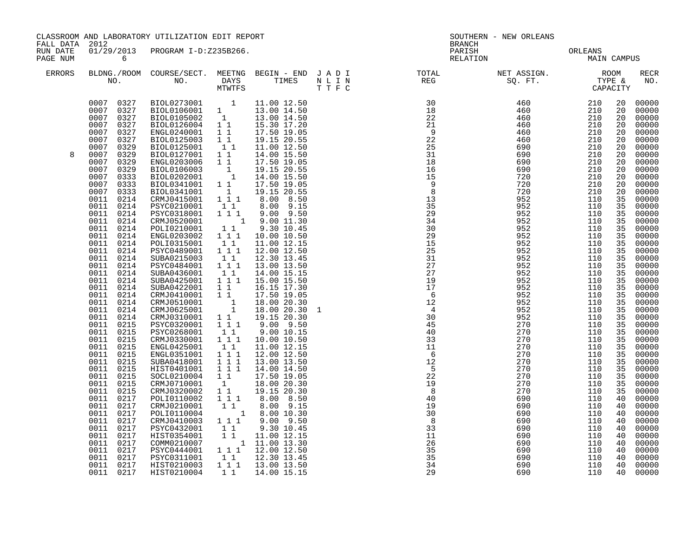| CLASSROOM AND LABORATORY UTILIZATION EDIT REPORT<br>FALL DATA 2012 |                                                                                                                                                                                                                                                                                                                                                                                                                                                                                                                                                                                                                                                               |                                                                                                                                                                                                                                                                                                                                                                                                                                                                                                                                                                                                                                                                                                                                                                                                                                     |                                                                                                                                                                                                                                                                       |                                                                                                                                                                                                                                                                                                                                                                                                                                                                                                                                                                                                                         | <b>BRANCH</b>                                                                                                                         | SOUTHERN - NEW ORLEANS     |                          |                                                                                                                                                                                                                                                    |                                                                                                                                                                                                                                                                                                                                                                               |
|--------------------------------------------------------------------|---------------------------------------------------------------------------------------------------------------------------------------------------------------------------------------------------------------------------------------------------------------------------------------------------------------------------------------------------------------------------------------------------------------------------------------------------------------------------------------------------------------------------------------------------------------------------------------------------------------------------------------------------------------|-------------------------------------------------------------------------------------------------------------------------------------------------------------------------------------------------------------------------------------------------------------------------------------------------------------------------------------------------------------------------------------------------------------------------------------------------------------------------------------------------------------------------------------------------------------------------------------------------------------------------------------------------------------------------------------------------------------------------------------------------------------------------------------------------------------------------------------|-----------------------------------------------------------------------------------------------------------------------------------------------------------------------------------------------------------------------------------------------------------------------|-------------------------------------------------------------------------------------------------------------------------------------------------------------------------------------------------------------------------------------------------------------------------------------------------------------------------------------------------------------------------------------------------------------------------------------------------------------------------------------------------------------------------------------------------------------------------------------------------------------------------|---------------------------------------------------------------------------------------------------------------------------------------|----------------------------|--------------------------|----------------------------------------------------------------------------------------------------------------------------------------------------------------------------------------------------------------------------------------------------|-------------------------------------------------------------------------------------------------------------------------------------------------------------------------------------------------------------------------------------------------------------------------------------------------------------------------------------------------------------------------------|
| RUN DATE<br>PAGE NUM                                               | $\overline{6}$                                                                                                                                                                                                                                                                                                                                                                                                                                                                                                                                                                                                                                                | 01/29/2013 PROGRAM I-D:Z235B266.                                                                                                                                                                                                                                                                                                                                                                                                                                                                                                                                                                                                                                                                                                                                                                                                    |                                                                                                                                                                                                                                                                       |                                                                                                                                                                                                                                                                                                                                                                                                                                                                                                                                                                                                                         |                                                                                                                                       | PARISH ORLEANS NAIN CAMPUS |                          |                                                                                                                                                                                                                                                    |                                                                                                                                                                                                                                                                                                                                                                               |
| ERRORS                                                             |                                                                                                                                                                                                                                                                                                                                                                                                                                                                                                                                                                                                                                                               |                                                                                                                                                                                                                                                                                                                                                                                                                                                                                                                                                                                                                                                                                                                                                                                                                                     |                                                                                                                                                                                                                                                                       |                                                                                                                                                                                                                                                                                                                                                                                                                                                                                                                                                                                                                         | BLDNG./ROOM COURSE/SECT. MEETNG BEGIN – END J A D I TOTAL ASSIGN. NET ASSIGN. AND ROOM ROOM NO. DAYS TIMES N L I N REG SQ. FT. TYPE & |                            |                          |                                                                                                                                                                                                                                                    | RECR<br>NO.                                                                                                                                                                                                                                                                                                                                                                   |
| 8                                                                  | 0007 0327<br>0007 0327<br>0007 0327<br>0007<br>0327<br>0007<br>0327<br>0327<br>0007<br>0007<br>0329<br>0007<br>0329<br>0007<br>0329<br>0007<br>0329<br>0007<br>0333<br>0007<br>0333<br>0007<br>0333<br>0011<br>0214<br>0011<br>0214<br>0011 0214<br>0011<br>0214<br>0011<br>0214<br>0011<br>0214<br>0011<br>0214<br>0011<br>0214<br>0011<br>0214<br>0011<br>0214<br>0011<br>0214<br>0011<br>0214<br>0011<br>0214<br>0011<br>0214<br>0011<br>0214<br>0011<br>0214<br>0011<br>0214<br>0011<br>0215<br>0011<br>0215<br>0011<br>0215<br>0011<br>0215<br>0215<br>0011<br>0215<br>0011<br>0011 0215<br>0215<br>0011<br>0011<br>0215<br>0011<br>0215<br>0011<br>0217 | $\begin{tabular}{lcccc} BIOL0273001 & 1 & 11.00 & 12.50 \\ BIOL0106001 & 1 & 13.00 & 14.50 \\ BIOL0105002 & 1 & 13.00 & 14.50 \\ BIOL0126004 & 1 & 15.30 & 17.20 \\ \end{tabular}$<br>ENGL0240001 11<br>BIOL0125003 1 1<br>BIOL0125001 1 1<br>BIOL0127001 1<br>ENGL0203006 1 1<br>BIOL0106003<br>BIOL0202001<br>BIOL0341001 11<br>BIOL0341001 1<br>CRMJ0415001 111<br>PSYC0210001<br>PSYC0318001 111<br>CRMJ0520001<br>POLI0210001<br>ENGL0203002<br>POLI0315001<br>PSYC0489001<br>SUBA0215003<br>PSYC0484001 111<br>SUBA0436001<br>SUBA0425001<br>SUBA0422001 11<br>CRMJ0410001 11<br>CRMJ0510001<br>CRMJ0625001<br>CRMJ0310001 1 1<br>PSYC0320001 111<br>PSYC0268001<br>CRMJ0330001 111<br>ENGL0425001<br>ENGL0351001  1  1  1<br>SUBA0418001  1  1  1<br>HIST0401001<br>SOCL0210004<br>CRMJ0710001<br>CRMJ0320002<br>POLI0110002 | $\begin{smallmatrix}1\\1\end{smallmatrix}$<br>11<br>$\begin{smallmatrix}1&1\\1&1&1\end{smallmatrix}$<br>$\begin{smallmatrix}1&1\\1&1\end{smallmatrix}$<br>$1\quad1$<br>11<br>$1$ $1$ $1$<br>11<br>11<br>$1\quad1$<br>$\begin{bmatrix} 1 \\ 1 \\ 1 \\ 1 \end{bmatrix}$ | 15.30 17.20<br>17.50 19.05<br>19.15 20.55<br>11.00 12.50<br>14.00 15.50<br>17.50 19.05<br>19.15 20.55<br>14.00 15.50<br>17.50 19.05<br>19.15 20.55<br>8.00 8.50<br>8.00 9.15<br>9.00 9.50<br>1 9.00 11.30<br>9.30 10.45<br>10.00 10.50<br>11.00 12.15<br>12.00 12.50<br>12.30 13.45<br>13.00 13.50<br>14.00 15.15<br>15.00 15.50<br>16.15 17.30<br>17.50 19.05<br>$\begin{array}{ccc} 1 & 18.00 & 20.30 \\ 1 & 18.00 & 20.30 \end{array}$<br>19.15 20.30<br>$9.00$ $9.50$<br>9.00 10.15<br>10.00 10.50<br>11.00 12.15<br>12.00 12.50<br>13.00 13.50<br>1 1 1 1 14.00 14.50<br>17.50 19.05<br>18.00 20.30<br>19.15 20.30 |                                                                                                                                       |                            |                          | 20<br>20<br>20<br>20<br>20<br>20<br>20<br>20<br>20<br>20<br>20<br>20<br>20<br>35<br>35<br>35<br>35<br>35<br>35<br>35<br>35<br>35<br>35<br>35<br>35<br>35<br>35<br>35<br>35<br>35<br>35<br>35<br>35<br>35<br>35<br>35<br>35<br>35<br>35<br>35<br>40 | 00000<br>00000<br>00000<br>00000<br>00000<br>00000<br>00000<br>00000<br>00000<br>00000<br>00000<br>00000<br>00000<br>00000<br>00000<br>00000<br>00000<br>00000<br>00000<br>00000<br>00000<br>00000<br>00000<br>00000<br>00000<br>00000<br>00000<br>00000<br>00000<br>00000<br>00000<br>00000<br>00000<br>00000<br>00000<br>00000<br>00000<br>00000<br>00000<br>00000<br>00000 |
|                                                                    | 0011<br>0217<br>0011<br>0217<br>0011<br>0217<br>0011<br>0217<br>0011<br>0217<br>0011<br>0217                                                                                                                                                                                                                                                                                                                                                                                                                                                                                                                                                                  | CRMJ0210001<br>POLIO110004 1 8.00 10.30<br>CRMJ0410003 1 1 1 9.00 9.50<br>PSYC0432001<br>HIST0354001                                                                                                                                                                                                                                                                                                                                                                                                                                                                                                                                                                                                                                                                                                                                | $1\quad1$<br>$1\quad1$<br>$\overline{1}$ $\overline{1}$                                                                                                                                                                                                               | 8.00 8.50<br>8.00 9.15<br>9.30 10.45<br>11.00 12.15                                                                                                                                                                                                                                                                                                                                                                                                                                                                                                                                                                     |                                                                                                                                       | 690                        | 110                      | 40<br>40<br>40<br>40<br>40<br>40                                                                                                                                                                                                                   | 00000<br>00000<br>00000<br>00000<br>00000<br>00000                                                                                                                                                                                                                                                                                                                            |
|                                                                    | 0011<br>0217<br>0011<br>0217<br>0011<br>0217<br>0011 0217                                                                                                                                                                                                                                                                                                                                                                                                                                                                                                                                                                                                     | COMM0210007 1 11.00 13.30<br>PSYC0444001 1 1 1 12.00 12.50<br>PSYC0311001<br>HIST0210003<br>HIST0210004                                                                                                                                                                                                                                                                                                                                                                                                                                                                                                                                                                                                                                                                                                                             | $1\quad1$<br>1 1                                                                                                                                                                                                                                                      | 12.30 13.45<br>1 1 1 1 13.00 13.50<br>14.00 15.15                                                                                                                                                                                                                                                                                                                                                                                                                                                                                                                                                                       | $\begin{array}{r} 33 \\ 11 \\ 26 \\ 35 \\ 35 \\ 37 \\ 2 \end{array}$                                                                  | 690<br>690<br>690<br>690   | 110<br>110<br>110<br>110 | 40<br>40<br>40<br>40                                                                                                                                                                                                                               | 00000<br>00000<br>00000<br>00000                                                                                                                                                                                                                                                                                                                                              |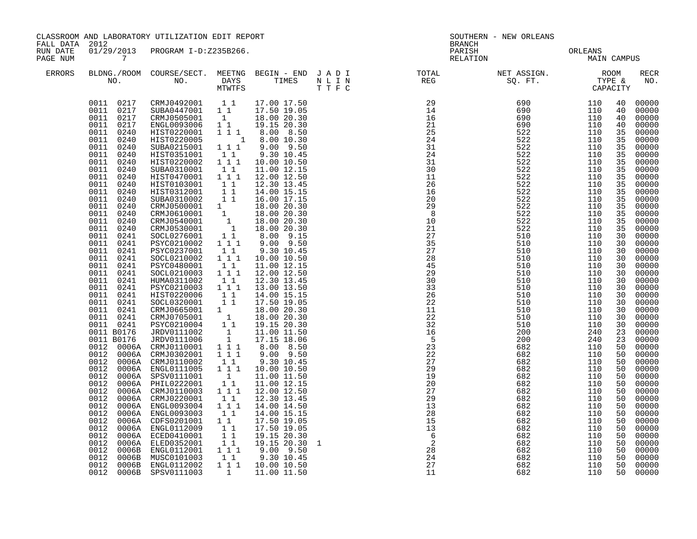|                                        |                                                                                                                                                                                                                                                                                                                                                                                                                                                                                     | CLASSROOM AND LABORATORY UTILIZATION EDIT REPORT                                                                                                                                                                                                                                                                                                                                                                                                                                                                                                                                                                                                                                                                                                                                                                                                                                                                                                                                                                                            |                                                                                                                                                                                     |                                                                                                                                                                                                                                                                                                                                                                                                                                                                                                                                                    |  | SOUTHERN - NEW ORLEANS<br><b>BRANCH</b>                                                                                                                                                                                                                                                                                                                                                                                               |                                            |            |                                                                                                                                                                                                                                              |                                                                                                                                                                                                                                                                                                                                                                      |  |  |
|----------------------------------------|-------------------------------------------------------------------------------------------------------------------------------------------------------------------------------------------------------------------------------------------------------------------------------------------------------------------------------------------------------------------------------------------------------------------------------------------------------------------------------------|---------------------------------------------------------------------------------------------------------------------------------------------------------------------------------------------------------------------------------------------------------------------------------------------------------------------------------------------------------------------------------------------------------------------------------------------------------------------------------------------------------------------------------------------------------------------------------------------------------------------------------------------------------------------------------------------------------------------------------------------------------------------------------------------------------------------------------------------------------------------------------------------------------------------------------------------------------------------------------------------------------------------------------------------|-------------------------------------------------------------------------------------------------------------------------------------------------------------------------------------|----------------------------------------------------------------------------------------------------------------------------------------------------------------------------------------------------------------------------------------------------------------------------------------------------------------------------------------------------------------------------------------------------------------------------------------------------------------------------------------------------------------------------------------------------|--|---------------------------------------------------------------------------------------------------------------------------------------------------------------------------------------------------------------------------------------------------------------------------------------------------------------------------------------------------------------------------------------------------------------------------------------|--------------------------------------------|------------|----------------------------------------------------------------------------------------------------------------------------------------------------------------------------------------------------------------------------------------------|----------------------------------------------------------------------------------------------------------------------------------------------------------------------------------------------------------------------------------------------------------------------------------------------------------------------------------------------------------------------|--|--|
| FALL DATA 2012<br>RUN DATE<br>PAGE NUM | $7\,$                                                                                                                                                                                                                                                                                                                                                                                                                                                                               | 01/29/2013 PROGRAM I-D:Z235B266.                                                                                                                                                                                                                                                                                                                                                                                                                                                                                                                                                                                                                                                                                                                                                                                                                                                                                                                                                                                                            |                                                                                                                                                                                     |                                                                                                                                                                                                                                                                                                                                                                                                                                                                                                                                                    |  |                                                                                                                                                                                                                                                                                                                                                                                                                                       | PARISH PARISH ORLEANS NELATION MAIN CAMPUS |            |                                                                                                                                                                                                                                              |                                                                                                                                                                                                                                                                                                                                                                      |  |  |
| ERRORS                                 |                                                                                                                                                                                                                                                                                                                                                                                                                                                                                     |                                                                                                                                                                                                                                                                                                                                                                                                                                                                                                                                                                                                                                                                                                                                                                                                                                                                                                                                                                                                                                             |                                                                                                                                                                                     |                                                                                                                                                                                                                                                                                                                                                                                                                                                                                                                                                    |  |                                                                                                                                                                                                                                                                                                                                                                                                                                       |                                            |            |                                                                                                                                                                                                                                              | <b>RECR</b><br>NO.                                                                                                                                                                                                                                                                                                                                                   |  |  |
|                                        | 0011 0217<br>0011 0217<br>0011 0240<br>0011<br>0240<br>0011<br>0240<br>0011<br>0240<br>0011<br>0240<br>0011<br>0240<br>0011<br>0240<br>0011<br>0240<br>0011<br>0240<br>0011<br>0240<br>0011<br>0240<br>0011<br>0240<br>0011<br>0240<br>0011<br>0240<br>0011<br>0241<br>0011<br>0241<br>0011<br>0241<br>0011 0241<br>0011<br>0241<br>0011 0241<br>0011<br>0241<br>0011 0241<br>0011 0241<br>0011 0241<br>0011 0241<br>0011 0241<br>0011 0241<br>0012<br>0012<br>0012<br>0012<br>0012 | $\begin{array}{cccc} 0011 & 0217 & \texttt{CKMJ0492001} & 1 & 1 & 17.00 & 17.50 \\ 0011 & 0217 & \texttt{SUBA0447001} & 1 & 1 & 17.50 & 19.05 \end{array}$<br>CRMJ0505001 1 18.00 20.30<br>ENGL0093006<br>HIST0220001<br>HIST0220005<br>SUBA0215001  1  1  1<br>HIST0351001<br>HIST0220002<br>SUBA0310001<br>HIST0470001 111<br>HIST0103001<br>HIST0312001 11<br>SUBA0310002 11<br>CRMJ0500001 1 18.00 20.30<br>CRMJ0610001 1 18.00 20.30<br>CRMJ0540001 1 18.00 20.30<br>CRMJ0530001 1 18.00 20.30<br>SOCL0276001 1 18.00 20.30<br>SOCL0276001 1 8.00 9.15<br>PSYC0210002<br>PSYC0237001<br>SOCL0210002<br>PSYC0480001<br>SOCL0210003 111<br>HUMA0311002<br>PSYC0210003 111<br>HIST0220006<br>SOCL0320001 11<br>CRMJ0665001 1<br>CRMJ0705001 1<br>PSYC0210004 11<br>0011 B0176 JRDV0111002 1<br>0011 B0176 JRDV0111006 1<br>0012 0006A CRMJ0110001 111<br>0012 0006A CRMJ0302001 111<br>0006A CRMJ0110002<br>0006A CRMJ0110002    1    1<br>0006A ENGL0111005    1    1<br>0006A SPSV0111001<br>0006A PHIL0222001<br>0006A CRMJ0110003 111 | $1\quad1$<br>11<br>111<br>$1\quad1$<br>$\begin{bmatrix} 1 \\ 1 \end{bmatrix}$<br>$1 1 1$<br>$1\quad1$<br>$1 1 1$<br>11<br>$1\quad1$<br>11<br>$\begin{bmatrix} 1 \\ 1 \end{bmatrix}$ | 19.15 20.30<br>$\begin{array}{cccc} 1 & 1 & 1 & 8.00 & 8.50 \\ & 1 & 8.00 & 10.30 \end{array}$<br>$9.00$ $9.50$<br>9.30 10.45<br>10.00 10.50<br>11.00 12.15<br>12.00 12.50<br>12.30 13.45<br>14.00 15.15<br>16.00 17.15<br>$9.00$ $9.50$<br>9.30 10.45<br>10.00 10.50<br>11.00 12.15<br>12.00 12.50<br>12.30 13.45<br>13.00 13.50<br>14.00 15.15<br>17.50 19.05<br>18.00 20.30<br>18.00 20.30<br>19.15 20.30<br>11.00 11.50<br>17.15 18.06<br>8.00 8.50<br>$9.00$ $9.50$<br>9.30 10.45<br>10.00 10.50<br>11.00 11.50<br>11.00 12.15<br>12.00 12.50 |  | $\begin{array}{cccc} \text{R} & \text{R} & \text{R} & \text{R} & \text{ST} \\ \text{R} & \text{R} & \text{R} & \text{S} & \text{S} \\ \text{R} & \text{R} & \text{S} & \text{S} & \text{S} \\ \text{R} & \text{R} & \text{S} & \text{S} & \text{S} \\ \text{S} & \text{S} & \text{S} & \text{S} & \text{S} \\ \text{S} & \text{S} & \text{S} & \text{S} & \text{S} \\ \text{S} & \text{S} & \text{S} & \text{S} & \text{S} \\ \text{$ |                                            |            | 40<br>40<br>40<br>40<br>35<br>35<br>35<br>35<br>35<br>35<br>35<br>35<br>35<br>35<br>35<br>35<br>35<br>35<br>30<br>30<br>30<br>30<br>30<br>30<br>30<br>30<br>30<br>30<br>30<br>30<br>30<br>23<br>23<br>50<br>50<br>50<br>50<br>50<br>50<br>50 | 00000<br>00000<br>00000<br>00000<br>00000<br>00000<br>00000<br>00000<br>00000<br>00000<br>00000<br>00000<br>00000<br>00000<br>00000<br>00000<br>00000<br>00000<br>00000<br>00000<br>00000<br>00000<br>00000<br>00000<br>00000<br>00000<br>00000<br>00000<br>00000<br>00000<br>00000<br>00000<br>00000<br>00000<br>00000<br>00000<br>00000<br>00000<br>00000<br>00000 |  |  |
|                                        | 0012<br>0012<br>0012<br>0012<br>0012<br>0012<br>0012<br>0012<br>0012                                                                                                                                                                                                                                                                                                                                                                                                                | 0006A CRMJ0220001<br>0006A ENGL0093004<br>0006A ENGL0093003<br>0006A CDFS0201001 11<br>0006A ENGL0112009<br>0006A ECED0410001<br>0006A ELED0352001<br>0006B ENGL0112001 111<br>0006B MUSC0101003 1 1                                                                                                                                                                                                                                                                                                                                                                                                                                                                                                                                                                                                                                                                                                                                                                                                                                        | 11<br>111<br>$1\quad1$<br>11<br>$\begin{array}{cc} 1 & 1 \\ 1 & 1 \end{array}$                                                                                                      | 12.30 13.45<br>14.00 14.50<br>14.00 15.15<br>17.50 19.05<br>17.50 19.05<br>19.15 20.30<br>19.15 20.30 1<br>$9.00$ $9.50$<br>9.30 10.45                                                                                                                                                                                                                                                                                                                                                                                                             |  | $\begin{array}{r} 15 \\ 13 \\ 6 \\ 2 \\ 28 \\ 24 \\ 27 \\ 11 \end{array}$                                                                                                                                                                                                                                                                                                                                                             |                                            |            | 50<br>50<br>50<br>50<br>50<br>50<br>50<br>50<br>50                                                                                                                                                                                           | 00000<br>00000<br>00000<br>00000<br>00000<br>00000<br>00000<br>00000<br>00000                                                                                                                                                                                                                                                                                        |  |  |
|                                        | 0012<br>0012                                                                                                                                                                                                                                                                                                                                                                                                                                                                        | 0006B ENGL0112002<br>0006B SPSV0111003                                                                                                                                                                                                                                                                                                                                                                                                                                                                                                                                                                                                                                                                                                                                                                                                                                                                                                                                                                                                      |                                                                                                                                                                                     | 1 1 1 1 10.00 10.50<br>1 11.00 11.50                                                                                                                                                                                                                                                                                                                                                                                                                                                                                                               |  |                                                                                                                                                                                                                                                                                                                                                                                                                                       | 682<br>682                                 | 110<br>110 | 50<br>50                                                                                                                                                                                                                                     | 00000<br>00000                                                                                                                                                                                                                                                                                                                                                       |  |  |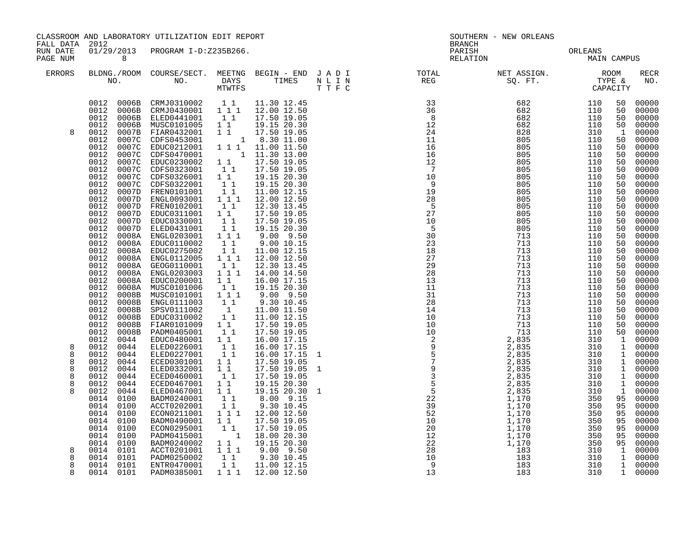|                                 | CLASSROOM AND LABORATORY UTILIZATION EDIT REPORT<br>FALL DATA 2012                                                                                                                                                                                                                                                                                                             |                                                                                                                                                                                                                                                                                                                                                                                                                                                                                                                                                                                                                                                                                                                                                                                                                                                                                                                                                                                                                                                                                                                                 | SOUTHERN - NEW ORLEANS<br><b>BRANCH</b>                                           |                                                                                                                                                                                                                                                                                                                                                                                                                     |                    |                        |  |                                                                                                                                                                                                      |                                                                                                                                                                                                                                                                                                                                                                                                                                                            |
|---------------------------------|--------------------------------------------------------------------------------------------------------------------------------------------------------------------------------------------------------------------------------------------------------------------------------------------------------------------------------------------------------------------------------|---------------------------------------------------------------------------------------------------------------------------------------------------------------------------------------------------------------------------------------------------------------------------------------------------------------------------------------------------------------------------------------------------------------------------------------------------------------------------------------------------------------------------------------------------------------------------------------------------------------------------------------------------------------------------------------------------------------------------------------------------------------------------------------------------------------------------------------------------------------------------------------------------------------------------------------------------------------------------------------------------------------------------------------------------------------------------------------------------------------------------------|-----------------------------------------------------------------------------------|---------------------------------------------------------------------------------------------------------------------------------------------------------------------------------------------------------------------------------------------------------------------------------------------------------------------------------------------------------------------------------------------------------------------|--------------------|------------------------|--|------------------------------------------------------------------------------------------------------------------------------------------------------------------------------------------------------|------------------------------------------------------------------------------------------------------------------------------------------------------------------------------------------------------------------------------------------------------------------------------------------------------------------------------------------------------------------------------------------------------------------------------------------------------------|
| RUN DATE<br>PAGE NUM            | 8 <sup>8</sup>                                                                                                                                                                                                                                                                                                                                                                 | 01/29/2013 PROGRAM I-D:Z235B266.                                                                                                                                                                                                                                                                                                                                                                                                                                                                                                                                                                                                                                                                                                                                                                                                                                                                                                                                                                                                                                                                                                |                                                                                   |                                                                                                                                                                                                                                                                                                                                                                                                                     | PARISH<br>RELATION | ORLEANS<br>MAIN CAMPUS |  |                                                                                                                                                                                                      |                                                                                                                                                                                                                                                                                                                                                                                                                                                            |
| ERRORS                          |                                                                                                                                                                                                                                                                                                                                                                                |                                                                                                                                                                                                                                                                                                                                                                                                                                                                                                                                                                                                                                                                                                                                                                                                                                                                                                                                                                                                                                                                                                                                 |                                                                                   |                                                                                                                                                                                                                                                                                                                                                                                                                     |                    |                        |  |                                                                                                                                                                                                      | <b>RECR</b><br>NO.                                                                                                                                                                                                                                                                                                                                                                                                                                         |
| 8<br>8<br>8<br>8<br>8<br>8<br>8 | 0012<br>0012<br>0012<br>0012<br>0012<br>0012<br>0012<br>0012<br>0012<br>0012<br>0012<br>0012<br>0012<br>0012<br>0012<br>0012<br>0012<br>0012<br>0012<br>0012<br>0012<br>0012<br>0012<br>0012<br>0012<br>0012<br>0012<br>0012<br>0012<br>0008B<br>0012<br>0008B<br>0012<br>0044<br>0012<br>0044<br>0012<br>0044<br>0012<br>0044<br>0012<br>0044<br>0044<br>0012<br>0012<br>0044 | 0012 0006B CRMJ0310002 11 11.30 12.45<br>0012 0006B CRMJ0430001 111 12.00 12.50<br>0006B ELED0441001   11<br>0006B MUSC0101005   11<br>0007B FIAR0432001 1 1 17.50 19.05<br>0007C CDFS0453001 1 8.30 11.00<br>0007C EDUC0212001 1 1 1 11.00 11.50<br>0007C CDFS0470001 1 11.30 13.00<br>0007C EDUC0230002 1 1 17.50 19.05<br>0007C CDFS0323001 1 17.50 19.05<br>0007C CDFS0323001 1 1 19.15 20.30<br>0007C CDFS0322001 1 1 19.15 20.30<br>0007D EREN0101001 1 1 11.00 12.15<br>0007D EREN010093<br>0007D FREN0102001 11<br>0007D EDUC0311001 11<br>0007D EDUC0330001 11<br>0007D ELED0431001 1 1<br>0008A ENGL0203001 1 1 1<br>0008A EDUC0110002 11<br>0008A EDUC0110002 11<br>0008A ENGL0112005 111<br>0008A GEOG0110001<br>0008A GEOG0110001   11<br>0008A ENGL0203003   111<br>0008A EDUC0200001 11<br>0008A MUSC0101006 11<br>0008B MUSC0101001 1 1 1<br>0008B ENGL0111003 1 1<br>0008B SPSV0111002 1<br>0008B EDUC0310002 1 1<br>FIAR0101009   1 <sup>1</sup><br>PADM0405001   1 <sup>1</sup><br>EDUC0480001 11<br>ELED0226001 11<br>ELED0227001<br>ECED0301001 11<br>ELED0332001 11<br>ECED0460001 1 1<br>ECED0467001 1 1 | 11                                                                                | 17.50 19.05<br>19.15 20.30<br>12.30 13.45<br>17.50 19.05<br>17.50 19.05<br>19.15 20.30<br>9.00 9.50<br>9.00 10.15<br>$11.00$ $12.15$<br>12.00 12.50<br>12.30 13.45<br>14.00 14.50<br>16.00 17.15<br>19.15 20.30<br>$9.00$ $9.50$<br>9.30 10.45<br>11.00 11.50<br>11.00 12.15<br>17.50 19.05<br>17.50 19.05<br>16.00 17.15<br>16.00 17.15<br>16.00 17.15<br>17.50 19.05<br>17.50 19.05<br>17.50 19.05<br>19.15 20.30 |                    |                        |  | 50<br>50<br>50<br>50<br>$\mathbf{1}$<br>50<br>50<br>50<br>50<br>50<br>50<br>50<br>50<br>50<br>50<br>50<br>50<br>50<br>50<br>50<br>50<br>50<br>50<br>50<br>50<br>50<br>50<br>50<br>50<br>$\mathbf{1}$ | 00000<br>00000<br>00000<br>00000<br>00000<br>00000<br>00000<br>00000<br>00000<br>00000<br>00000<br>00000<br>00000<br>00000<br>00000<br>00000<br>00000<br>00000<br>00000<br>00000<br>00000<br>00000<br>00000<br>00000<br>00000<br>$00000$<br>00000<br>00000<br>00000<br>$\begin{bmatrix} 50 & 00000 \\ 50 & 00000 \end{bmatrix}$<br>50 00000<br>1 00000<br>1 00000<br>$\begin{bmatrix} 1 & 00000 \\ 1 & 00000 \end{bmatrix}$<br>1 00000<br>1 00000<br>00000 |
|                                 | 0012<br>0044<br>0014<br>0100<br>0014<br>0100<br>0014<br>0100<br>0014<br>0100<br>0014<br>0100<br>0014<br>0100<br>0014<br>0100                                                                                                                                                                                                                                                   | ELED0467001 1 1<br>BADM0240001 1 1<br>ACCT0202001<br>CCTUZ020101 1 1 1<br>BADM0490001 1 1 17.50 19.05<br>ECON0295001 1 1 17.50 19.05<br>PADM0415001 1 18.00 20.30<br>BADM0240002 1 1 18.05 20.30<br>ACCT0201001 1 1 9.00 9.50<br>PADM0250002 1 9.30 10.45<br>FNTR0470001 1 1 11.00 12.1'<br>THTR047                                                                                                                                                                                                                                                                                                                                                                                                                                                                                                                                                                                                                                                                                                                                                                                                                             | $\begin{array}{ccc} & & & \overline{1} & \overline{1} \\ & 1 & 1 & 1 \end{array}$ | 19.15 20.30<br>8.00 9.15<br>9.30 10.45                                                                                                                                                                                                                                                                                                                                                                              |                    |                        |  | $\mathbf{1}$<br>95<br>95                                                                                                                                                                             | 00000<br>00000<br>95 00000<br>95 00000<br>95 00000<br>00000<br>95 00000<br>95 00000                                                                                                                                                                                                                                                                                                                                                                        |
| 8<br>8<br>8<br>8                | 0014<br>0101<br>0014<br>0101<br>0014 0101<br>0014 0101                                                                                                                                                                                                                                                                                                                         |                                                                                                                                                                                                                                                                                                                                                                                                                                                                                                                                                                                                                                                                                                                                                                                                                                                                                                                                                                                                                                                                                                                                 |                                                                                   |                                                                                                                                                                                                                                                                                                                                                                                                                     |                    |                        |  |                                                                                                                                                                                                      | $\begin{array}{ccc} 1 & 00000 \\ 1 & 00000 \end{array}$<br>1 00000<br>1 00000                                                                                                                                                                                                                                                                                                                                                                              |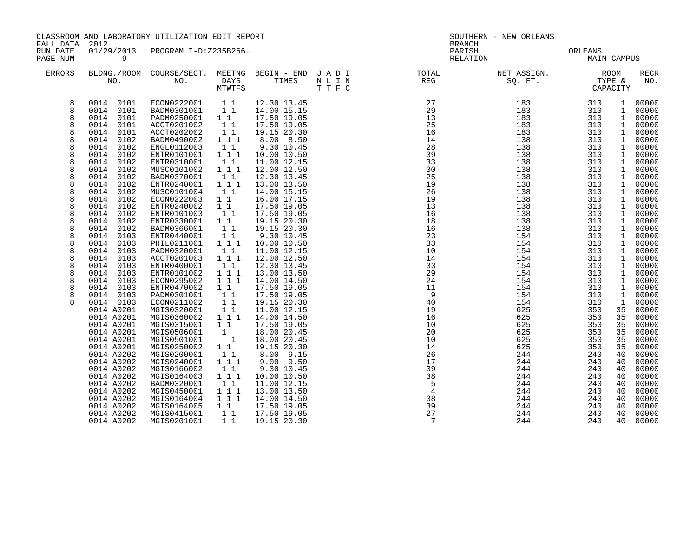| FALL DATA                                                                                                                                | CLASSROOM AND LABORATORY UTILIZATION EDIT REPORT<br>2012                                                                                                                                                                                                                                                                                                                                                                                                                                                                                                                                                                                                                               |                                                                                                                                                                                                                                                                                                                                                                                                                                                                                                                                                                                                                                                                                                                                                                                                                                                                                                                                                                                                                                                                             | SOUTHERN - NEW ORLEANS<br><b>BRANCH</b>                                                                                                                                                                                                                                                                                                                                                                                                                                                                                                                                                                                                                                     |      |                                                                                                                                                                                                                                                                                                                                                                                                                                                                                               |                                                                                                                                                                                                                                                                                                                  |                                                                                                                                                                                                                                                                                                                  |                                                                                                                                                                                                                                                                                                                                                                                                                      |                                                                                                                                                                                                                                                                                                                                                                                                          |
|------------------------------------------------------------------------------------------------------------------------------------------|----------------------------------------------------------------------------------------------------------------------------------------------------------------------------------------------------------------------------------------------------------------------------------------------------------------------------------------------------------------------------------------------------------------------------------------------------------------------------------------------------------------------------------------------------------------------------------------------------------------------------------------------------------------------------------------|-----------------------------------------------------------------------------------------------------------------------------------------------------------------------------------------------------------------------------------------------------------------------------------------------------------------------------------------------------------------------------------------------------------------------------------------------------------------------------------------------------------------------------------------------------------------------------------------------------------------------------------------------------------------------------------------------------------------------------------------------------------------------------------------------------------------------------------------------------------------------------------------------------------------------------------------------------------------------------------------------------------------------------------------------------------------------------|-----------------------------------------------------------------------------------------------------------------------------------------------------------------------------------------------------------------------------------------------------------------------------------------------------------------------------------------------------------------------------------------------------------------------------------------------------------------------------------------------------------------------------------------------------------------------------------------------------------------------------------------------------------------------------|------|-----------------------------------------------------------------------------------------------------------------------------------------------------------------------------------------------------------------------------------------------------------------------------------------------------------------------------------------------------------------------------------------------------------------------------------------------------------------------------------------------|------------------------------------------------------------------------------------------------------------------------------------------------------------------------------------------------------------------------------------------------------------------------------------------------------------------|------------------------------------------------------------------------------------------------------------------------------------------------------------------------------------------------------------------------------------------------------------------------------------------------------------------|----------------------------------------------------------------------------------------------------------------------------------------------------------------------------------------------------------------------------------------------------------------------------------------------------------------------------------------------------------------------------------------------------------------------|----------------------------------------------------------------------------------------------------------------------------------------------------------------------------------------------------------------------------------------------------------------------------------------------------------------------------------------------------------------------------------------------------------|
| RUN DATE<br>PAGE NUM                                                                                                                     | 01/29/2013<br>9                                                                                                                                                                                                                                                                                                                                                                                                                                                                                                                                                                                                                                                                        | PROGRAM I-D:Z235B266.                                                                                                                                                                                                                                                                                                                                                                                                                                                                                                                                                                                                                                                                                                                                                                                                                                                                                                                                                                                                                                                       |                                                                                                                                                                                                                                                                                                                                                                                                                                                                                                                                                                                                                                                                             |      | PARISH<br>RELATION                                                                                                                                                                                                                                                                                                                                                                                                                                                                            |                                                                                                                                                                                                                                                                                                                  | ORLEANS<br><b>MAIN CAMPUS</b>                                                                                                                                                                                                                                                                                    |                                                                                                                                                                                                                                                                                                                                                                                                                      |                                                                                                                                                                                                                                                                                                                                                                                                          |
| ERRORS                                                                                                                                   |                                                                                                                                                                                                                                                                                                                                                                                                                                                                                                                                                                                                                                                                                        | MTWTFS                                                                                                                                                                                                                                                                                                                                                                                                                                                                                                                                                                                                                                                                                                                                                                                                                                                                                                                                                                                                                                                                      |                                                                                                                                                                                                                                                                                                                                                                                                                                                                                                                                                                                                                                                                             | TTFC |                                                                                                                                                                                                                                                                                                                                                                                                                                                                                               | NET ASSIGN.<br>SQ. FT.                                                                                                                                                                                                                                                                                           | ROOM<br>TYPE &                                                                                                                                                                                                                                                                                                   | CAPACITY                                                                                                                                                                                                                                                                                                                                                                                                             | <b>RECR</b><br>NO.                                                                                                                                                                                                                                                                                                                                                                                       |
| 8<br>8<br>8<br>8<br>8<br>8<br>8<br>8<br>8<br>8<br>8<br>8<br>8<br>8<br>8<br>8<br>8<br>8<br>8<br>8<br>8<br>8<br>8<br>8<br>8<br>8<br>8<br>8 | 0014 0101<br>0014<br>0101<br>0101<br>0014<br>0014<br>0101<br>0014<br>0101<br>0014<br>0102<br>0014<br>0102<br>0102<br>0014<br>0014<br>0102<br>0102<br>0014<br>0102<br>0014<br>0014<br>0102<br>0014<br>0102<br>0102<br>0014<br>0014<br>0102<br>0102<br>0014<br>0014<br>0102<br>0014<br>0102<br>0103<br>0014<br>0014<br>0103<br>0103<br>0014<br>0103<br>0014<br>0014<br>0103<br>0014<br>0103<br>0103<br>0014<br>0103<br>0014<br>0014<br>0103<br>0014 0103<br>0014 A0201<br>0014 A0201<br>0014 A0201<br>0014 A0201<br>0014 A0201<br>0014 A0201<br>0014 A0202<br>0014 A0202<br>0014 A0202<br>0014 A0202<br>0014 A0202<br>0014 A0202<br>0014 A0202<br>0014 A0202<br>0014 A0202<br>0014 A0202 | ECON0222001<br>11<br>11<br>BADM0301001<br>$1\quad1$<br>PADM0250001<br>11<br>ACCT0201002<br>11<br>ACCT0202002<br>111<br>BADM0490002<br>1 1<br>ENGL0112003<br>111<br>ENTR0101001<br>ENTR0310001<br>11<br>$1 1 1$<br>MUSC0101002<br>BADM0370001<br>11<br>$1 1 1$<br>ENTR0240001<br>11<br>MUSC0101004<br>ECON0222003<br>11<br>ENTR0240002<br>$1\quad1$<br>ENTR0101003<br>11<br>ENTR0330001<br>$1\quad1$<br>$1\quad1$<br>BADM0366001<br>11<br>ENTR0440001<br>111<br>PHIL0211001<br>PADM0320001<br>11<br>ACCT0201003<br>1 1 1<br>11<br>ENTR0400001<br>1 1 1<br>ENTR0101002<br>ECON0295002<br>111<br>ENTR0470002<br>$1\quad1$<br>11<br>PADM0301001<br>11<br>ECON0211002<br>MGIS0320001<br>11<br>1 1 1<br>MGIS0360002<br>MGIS0315001<br>$1\quad1$<br>MGIS0506001<br>1<br>$\overline{\phantom{a}}$ 1<br>MGIS0501001<br>$1\quad1$<br>MGIS0250002<br>11<br>MGIS0200001<br>MGIS0240001<br>111<br>MGIS0166002<br>1 1<br>111<br>MGIS0164003<br>BADM0320001<br>11<br>MGIS0450001<br>111<br>MGIS0164004<br>111<br>MGIS0164005<br>$1\quad1$<br>MGIS0415001<br>11<br>MGIS0201001<br>$1\quad1$ | 12.30 13.45<br>14.00 15.15<br>17.50 19.05<br>17.50 19.05<br>19.15 20.30<br>8.00 8.50<br>9.30 10.45<br>10.00 10.50<br>11.00 12.15<br>12.00 12.50<br>12.30 13.45<br>13.00 13.50<br>14.00 15.15<br>16.00 17.15<br>17.50 19.05<br>17.50 19.05<br>19.15 20.30<br>19.15 20.30<br>9.30 10.45<br>10.00 10.50<br>11.00 12.15<br>12.00 12.50<br>12.30 13.45<br>13.00 13.50<br>14.00 14.50<br>17.50 19.05<br>17.50 19.05<br>19.15 20.30<br>11.00 12.15<br>14.00 14.50<br>17.50 19.05<br>18.00 20.45<br>18.00 20.45<br>19.15 20.30<br>8.00 9.15<br>$9.00$ $9.50$<br>9.30 10.45<br>10.00 10.50<br>11.00 12.15<br>13.00 13.50<br>14.00 14.50<br>17.50 19.05<br>17.50 19.05<br>19.15 20.30 |      | $\begin{array}{r} 27 \\ 29 \\ 13 \\ 28 \\ 39 \\ 33 \\ 30 \\ 25 \\ 19 \\ 26 \\ 19 \\ 26 \\ 19 \\ 26 \\ 19 \\ 27 \\ 19 \\ 26 \\ 10 \\ 14 \\ 33 \\ 29 \\ 4 \\ 1 \\ 4 \\ 33 \\ 29 \\ 4 \\ 1 \\ 4 \\ 33 \\ 29 \\ 4 \\ 1 \\ 4 \\ 1 \\ 9 \\ 4 \\ 0 \\ 1 \\ 4 \\ 1 \\ 4 \\ 3 \\ 2 \\ 4 \\ 1 \\ 4 \\ 5 \\ 4 \\ 6 \\ 1 \\ 5 \\ 4 \\ 2 \\ 4 \\ 1 \\ 4 \\ 5 \\ 4 \\ 5 \\ 4 \\ $<br>16<br>10<br>20<br>10<br>14<br>26<br>17<br>39<br>38<br>$5^{\circ}$<br>$\overline{4}$<br>$\frac{38}{2}$<br>39<br>27<br>7 | 183<br>183<br>183<br>183<br>183<br>138<br>138<br>138<br>138<br>138<br>138<br>138<br>138<br>138<br>138<br>138<br>138<br>138<br>154<br>154<br>154<br>154<br>154<br>154<br>154<br>154<br>154<br>154<br>625<br>625<br>625<br>625<br>625<br>625<br>244<br>244<br>244<br>244<br>244<br>244<br>244<br>244<br>244<br>244 | 310<br>310<br>310<br>310<br>310<br>310<br>310<br>310<br>310<br>310<br>310<br>310<br>310<br>310<br>310<br>310<br>310<br>310<br>310<br>310<br>310<br>310<br>310<br>310<br>310<br>310<br>310<br>310<br>350<br>350<br>350<br>350<br>350<br>350<br>240<br>240<br>240<br>240<br>240<br>240<br>240<br>240<br>240<br>240 | $\mathbf{1}$<br>$\mathbf{1}$<br>$\mathbf{1}$<br>1<br>1<br>$\mathbf{1}$<br>1<br>$\mathbf{1}$<br>$\mathbf 1$<br>1<br>1<br>1<br>$\mathbf{1}$<br>1<br>$\mathbf{1}$<br>$\mathbf{1}$<br>$\mathbf{1}$<br>$\mathbf 1$<br>1<br>$\mathbf 1$<br>1<br>$\mathbf{1}$<br>$\mathbf{1}$<br>1<br>$\mathbf{1}$<br>1<br>$\mathbf 1$<br>1<br>35<br>35<br>35<br>35<br>35<br>35<br>40<br>40<br>40<br>40<br>40<br>40<br>40<br>40<br>40<br>40 | 00000<br>00000<br>00000<br>00000<br>00000<br>00000<br>00000<br>00000<br>00000<br>00000<br>00000<br>00000<br>00000<br>00000<br>00000<br>00000<br>00000<br>00000<br>00000<br>00000<br>00000<br>00000<br>00000<br>00000<br>00000<br>00000<br>00000<br>00000<br>00000<br>00000<br>00000<br>00000<br>00000<br>00000<br>00000<br>00000<br>00000<br>00000<br>00000<br>00000<br>00000<br>00000<br>00000<br>00000 |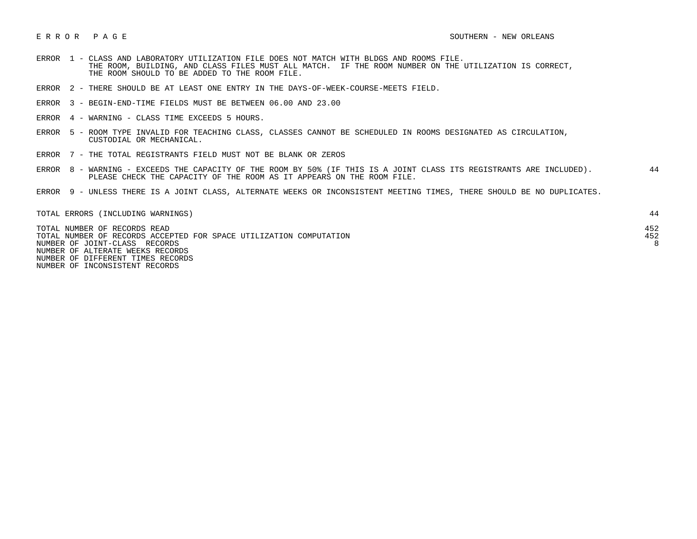- ERROR 1 CLASS AND LABORATORY UTILIZATION FILE DOES NOT MATCH WITH BLDGS AND ROOMS FILE. THE ROOM, BUILDING, AND CLASS FILES MUST ALL MATCH. IF THE ROOM NUMBER ON THE UTILIZATION IS CORRECT, THE ROOM SHOULD TO BE ADDED TO THE ROOM FILE.
- ERROR 2 THERE SHOULD BE AT LEAST ONE ENTRY IN THE DAYS-OF-WEEK-COURSE-MEETS FIELD.
- ERROR 3 BEGIN-END-TIME FIELDS MUST BE BETWEEN 06.00 AND 23.00
- ERROR 4 WARNING CLASS TIME EXCEEDS 5 HOURS.
- ERROR 5 ROOM TYPE INVALID FOR TEACHING CLASS, CLASSES CANNOT BE SCHEDULED IN ROOMS DESIGNATED AS CIRCULATION, CUSTODIAL OR MECHANICAL.
- ERROR 7 THE TOTAL REGISTRANTS FIELD MUST NOT BE BLANK OR ZEROS
- ERROR 8 WARNING EXCEEDS THE CAPACITY OF THE ROOM BY 50% (IF THIS IS A JOINT CLASS ITS REGISTRANTS ARE INCLUDED). 44 PLEASE CHECK THE CAPACITY OF THE ROOM AS IT APPEARS ON THE ROOM FILE.
- ERROR 9 UNLESS THERE IS A JOINT CLASS, ALTERNATE WEEKS OR INCONSISTENT MEETING TIMES, THERE SHOULD BE NO DUPLICATES.

| TOTAL ERRORS (INCLUDING WARNINGS)                                  |     |
|--------------------------------------------------------------------|-----|
| TOTAL NUMBER OF RECORDS READ                                       | 452 |
| TOTAL NUMBER OF RECORDS ACCEPTED FOR SPACE UTILIZATION COMPUTATION | 452 |
| NUMBER OF JOINT-CLASS RECORDS                                      |     |
| NUMBER OF ALTERATE WEEKS RECORDS                                   |     |
| NUMBER OF DIFFERENT TIMES RECORDS                                  |     |

NUMBER OF INCONSISTENT RECORDS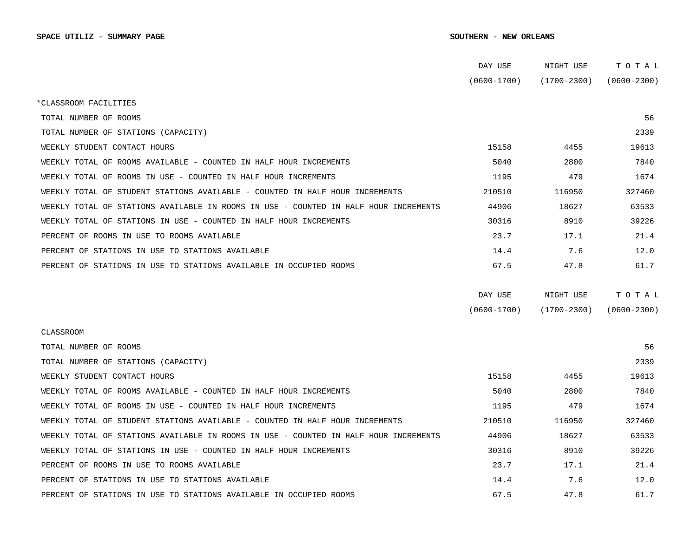|                                                                                      | DAY USE         | NIGHT USE       | TOTAL           |  |
|--------------------------------------------------------------------------------------|-----------------|-----------------|-----------------|--|
|                                                                                      | $(0600 - 1700)$ | $(1700 - 2300)$ | $(0600 - 2300)$ |  |
| *CLASSROOM FACILITIES                                                                |                 |                 |                 |  |
| TOTAL NUMBER OF ROOMS                                                                |                 |                 | 56              |  |
| TOTAL NUMBER OF STATIONS (CAPACITY)                                                  |                 |                 | 2339            |  |
| WEEKLY STUDENT CONTACT HOURS                                                         | 15158           | 4455            | 19613           |  |
| WEEKLY TOTAL OF ROOMS AVAILABLE - COUNTED IN HALF HOUR INCREMENTS                    | 5040            | 2800            | 7840            |  |
| WEEKLY TOTAL OF ROOMS IN USE - COUNTED IN HALF HOUR INCREMENTS                       | 1195            | 479             | 1674            |  |
| WEEKLY TOTAL OF STUDENT STATIONS AVAILABLE - COUNTED IN HALF HOUR INCREMENTS         | 210510          | 116950          | 327460          |  |
| WEEKLY TOTAL OF STATIONS AVAILABLE IN ROOMS IN USE - COUNTED IN HALF HOUR INCREMENTS | 44906           | 18627           | 63533           |  |
| WEEKLY TOTAL OF STATIONS IN USE - COUNTED IN HALF HOUR INCREMENTS                    | 30316           | 8910            | 39226           |  |
| PERCENT OF ROOMS IN USE TO ROOMS AVAILABLE                                           | 23.7            | 17.1            | 21.4            |  |
| PERCENT OF STATIONS IN USE TO STATIONS AVAILABLE                                     | 14.4            | 7.6             | 12.0            |  |
| PERCENT OF STATIONS IN USE TO STATIONS AVAILABLE IN OCCUPIED ROOMS                   | 67.5            | 47.8            | 61.7            |  |
|                                                                                      |                 |                 |                 |  |
|                                                                                      | DAY USE         | NIGHT USE       | TOTAL           |  |
|                                                                                      | $(0600 - 1700)$ | $(1700 - 2300)$ | $(0600 - 2300)$ |  |
| <b>CLASSROOM</b>                                                                     |                 |                 |                 |  |
| TOTAL NUMBER OF ROOMS                                                                |                 |                 | 56              |  |
| TOTAL NUMBER OF STATIONS (CAPACITY)                                                  |                 |                 | 2339            |  |
| WEEKLY STUDENT CONTACT HOURS                                                         | 15158           | 4455            | 19613           |  |
| WEEKLY TOTAL OF ROOMS AVAILABLE - COUNTED IN HALF HOUR INCREMENTS                    | 5040            | 2800            | 7840            |  |
| WEEKLY TOTAL OF ROOMS IN USE - COUNTED IN HALF HOUR INCREMENTS                       | 1195            | 479             | 1674            |  |
| WEEKLY TOTAL OF STUDENT STATIONS AVAILABLE - COUNTED IN HALF HOUR INCREMENTS         | 210510          | 116950          | 327460          |  |
| WEEKLY TOTAL OF STATIONS AVAILABLE IN ROOMS IN USE - COUNTED IN HALF HOUR INCREMENTS | 44906           | 18627           | 63533           |  |
| WEEKLY TOTAL OF STATIONS IN USE - COUNTED IN HALF HOUR INCREMENTS                    | 30316           | 8910            | 39226           |  |
| PERCENT OF ROOMS IN USE TO ROOMS AVAILABLE                                           | 23.7            | 17.1            | 21.4            |  |
| PERCENT OF STATIONS IN USE TO STATIONS AVAILABLE                                     | 14.4            | 7.6             | 12.0            |  |
| PERCENT OF STATIONS IN USE TO STATIONS AVAILABLE IN OCCUPIED ROOMS                   | 67.5            | 47.8            | 61.7            |  |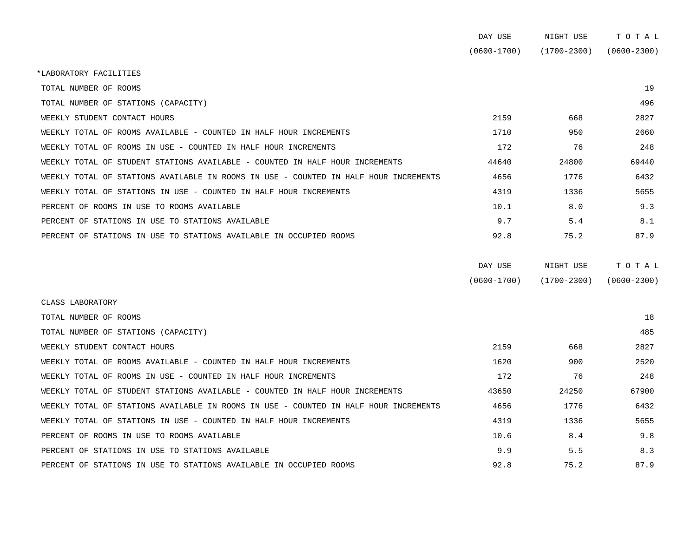|                                                                                      | DAY USE         | NIGHT USE       | TOTAL           |
|--------------------------------------------------------------------------------------|-----------------|-----------------|-----------------|
|                                                                                      | $(0600 - 1700)$ | $(1700 - 2300)$ | $(0600 - 2300)$ |
| *LABORATORY FACILITIES                                                               |                 |                 |                 |
| TOTAL NUMBER OF ROOMS                                                                |                 |                 | 19              |
| TOTAL NUMBER OF STATIONS (CAPACITY)                                                  |                 |                 | 496             |
| WEEKLY STUDENT CONTACT HOURS                                                         | 2159            | 668             | 2827            |
| WEEKLY TOTAL OF ROOMS AVAILABLE - COUNTED IN HALF HOUR INCREMENTS                    | 1710            | 950             | 2660            |
| WEEKLY TOTAL OF ROOMS IN USE - COUNTED IN HALF HOUR INCREMENTS                       | 172             | 76              | 248             |
| WEEKLY TOTAL OF STUDENT STATIONS AVAILABLE - COUNTED IN HALF HOUR INCREMENTS         | 44640           | 24800           | 69440           |
| WEEKLY TOTAL OF STATIONS AVAILABLE IN ROOMS IN USE - COUNTED IN HALF HOUR INCREMENTS | 4656            | 1776            | 6432            |
| WEEKLY TOTAL OF STATIONS IN USE - COUNTED IN HALF HOUR INCREMENTS                    | 4319            | 1336            | 5655            |
| PERCENT OF ROOMS IN USE TO ROOMS AVAILABLE                                           | 10.1            | 8.0             | 9.3             |
| PERCENT OF STATIONS IN USE TO STATIONS AVAILABLE                                     | 9.7             | 5.4             | 8.1             |
| PERCENT OF STATIONS IN USE TO STATIONS AVAILABLE IN OCCUPIED ROOMS                   | 92.8            | 75.2            | 87.9            |
|                                                                                      | DAY USE         | NIGHT USE       | TOTAL           |
|                                                                                      | $(0600 - 1700)$ | $(1700 - 2300)$ | $(0600 - 2300)$ |
| CLASS LABORATORY                                                                     |                 |                 |                 |
| TOTAL NUMBER OF ROOMS                                                                |                 |                 | 18              |
| TOTAL NUMBER OF STATIONS (CAPACITY)                                                  |                 |                 | 485             |
|                                                                                      |                 |                 |                 |

| WEEKLY STUDENT CONTACT HOURS                                                         | 2159  | 668   | 2827  |
|--------------------------------------------------------------------------------------|-------|-------|-------|
| WEEKLY TOTAL OF ROOMS AVAILABLE - COUNTED IN HALF HOUR INCREMENTS                    | 1620  | 900   | 2520  |
| WEEKLY TOTAL OF ROOMS IN USE - COUNTED IN HALF HOUR INCREMENTS                       | 172   | 76    | 248   |
| WEEKLY TOTAL OF STUDENT STATIONS AVAILABLE - COUNTED IN HALF HOUR INCREMENTS         | 43650 | 24250 | 67900 |
| WEEKLY TOTAL OF STATIONS AVAILABLE IN ROOMS IN USE - COUNTED IN HALF HOUR INCREMENTS | 4656  | 1776  | 6432  |
| WEEKLY TOTAL OF STATIONS IN USE - COUNTED IN HALF HOUR INCREMENTS                    | 4319  | 1336  | 5655  |
| PERCENT OF ROOMS IN USE TO ROOMS AVAILABLE                                           | 10.6  | 8.4   | 9.8   |
| PERCENT OF STATIONS IN USE TO STATIONS AVAILABLE                                     | 9.9   | 5.5   | 8.3   |
| PERCENT OF STATIONS IN USE TO STATIONS AVAILABLE IN OCCUPIED ROOMS                   | 92.8  | 75.2  | 87.9  |
|                                                                                      |       |       |       |